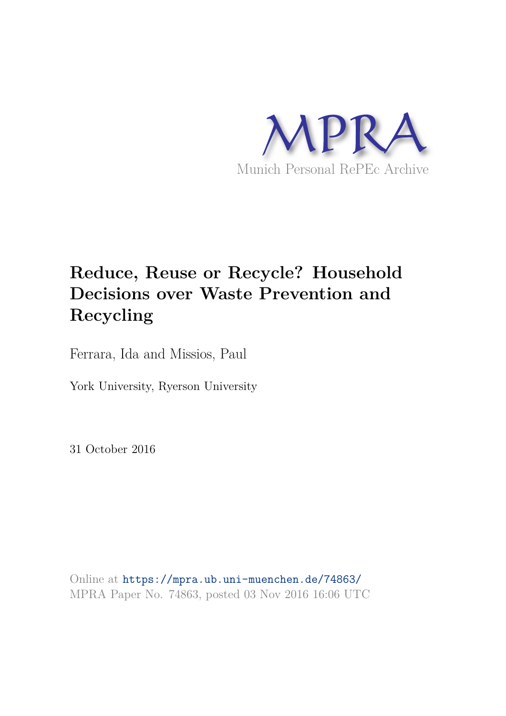

# **Reduce, Reuse or Recycle? Household Decisions over Waste Prevention and Recycling**

Ferrara, Ida and Missios, Paul

York University, Ryerson University

31 October 2016

Online at https://mpra.ub.uni-muenchen.de/74863/ MPRA Paper No. 74863, posted 03 Nov 2016 16:06 UTC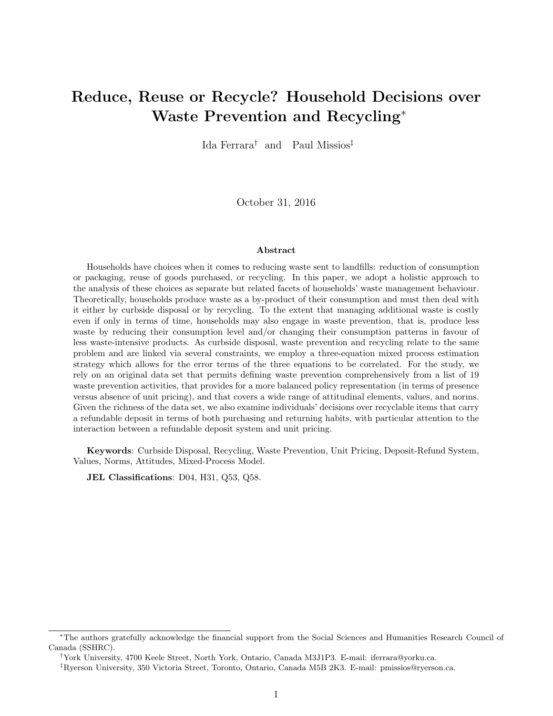# Reduce, Reuse or Recycle? Household Decisions over Waste Prevention and Recycling<sup>∗</sup>

Ida Ferrara† and Paul Missios‡

October 31, 2016

#### Abstract

Households have choices when it comes to reducing waste sent to landfills: reduction of consumption or packaging, reuse of goods purchased, or recycling. In this paper, we adopt a holistic approach to the analysis of these choices as separate but related facets of households' waste management behaviour. Theoretically, households produce waste as a by-product of their consumption and must then deal with it either by curbside disposal or by recycling. To the extent that managing additional waste is costly even if only in terms of time, households may also engage in waste prevention, that is, produce less waste by reducing their consumption level and/or changing their consumption patterns in favour of less waste-intensive products. As curbside disposal, waste prevention and recycling relate to the same problem and are linked via several constraints, we employ a three-equation mixed process estimation strategy which allows for the error terms of the three equations to be correlated. For the study, we rely on an original data set that permits defining waste prevention comprehensively from a list of 19 waste prevention activities, that provides for a more balanced policy representation (in terms of presence versus absence of unit pricing), and that covers a wide range of attitudinal elements, values, and norms. Given the richness of the data set, we also examine individuals' decisions over recyclable items that carry a refundable deposit in terms of both purchasing and returning habits, with particular attention to the interaction between a refundable deposit system and unit pricing.

Keywords: Curbside Disposal, Recycling, Waste Prevention, Unit Pricing, Deposit-Refund System, Values, Norms, Attitudes, Mixed-Process Model.

JEL Classifications: D04, H31, Q53, Q58.

<sup>∗</sup>The authors gratefully acknowledge the financial support from the Social Sciences and Humanities Research Council of Canada (SSHRC).

<sup>†</sup>York University, 4700 Keele Street, North York, Ontario, Canada M3J1P3. E-mail: iferrara@yorku.ca.

<sup>‡</sup>Ryerson University, 350 Victoria Street, Toronto, Ontario, Canada M5B 2K3. E-mail: pmissios@ryerson.ca.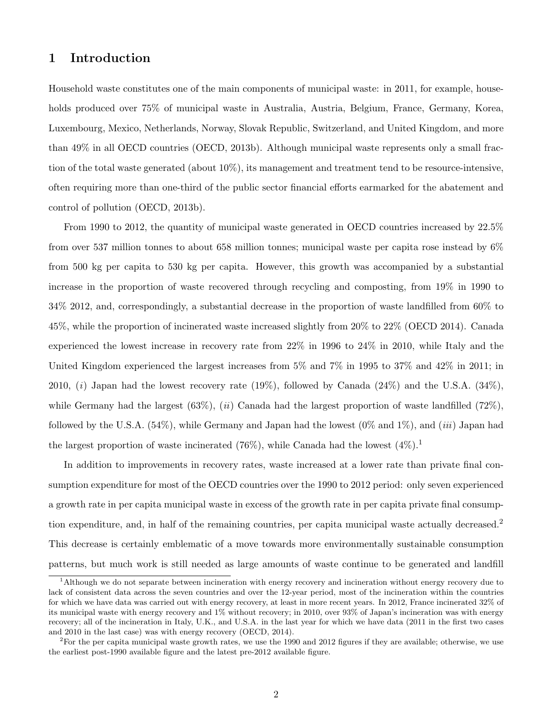# 1 Introduction

Household waste constitutes one of the main components of municipal waste: in 2011, for example, households produced over 75% of municipal waste in Australia, Austria, Belgium, France, Germany, Korea, Luxembourg, Mexico, Netherlands, Norway, Slovak Republic, Switzerland, and United Kingdom, and more than 49% in all OECD countries (OECD, 2013b). Although municipal waste represents only a small fraction of the total waste generated (about 10%), its management and treatment tend to be resource-intensive, often requiring more than one-third of the public sector financial efforts earmarked for the abatement and control of pollution (OECD, 2013b).

From 1990 to 2012, the quantity of municipal waste generated in OECD countries increased by 22.5% from over 537 million tonnes to about 658 million tonnes; municipal waste per capita rose instead by 6% from 500 kg per capita to 530 kg per capita. However, this growth was accompanied by a substantial increase in the proportion of waste recovered through recycling and composting, from 19% in 1990 to 34% 2012, and, correspondingly, a substantial decrease in the proportion of waste landfilled from 60% to 45%, while the proportion of incinerated waste increased slightly from 20% to 22% (OECD 2014). Canada experienced the lowest increase in recovery rate from 22% in 1996 to 24% in 2010, while Italy and the United Kingdom experienced the largest increases from 5% and 7% in 1995 to 37% and 42% in 2011; in 2010, (i) Japan had the lowest recovery rate  $(19\%)$ , followed by Canada  $(24\%)$  and the U.S.A.  $(34\%)$ , while Germany had the largest  $(63\%, (ii)$  Canada had the largest proportion of waste landfilled  $(72\%)$ , followed by the U.S.A.  $(54\%)$ , while Germany and Japan had the lowest  $(0\%$  and  $1\%)$ , and  $(iii)$  Japan had the largest proportion of waste incinerated (76%), while Canada had the lowest  $(4\%)$ .

In addition to improvements in recovery rates, waste increased at a lower rate than private final consumption expenditure for most of the OECD countries over the 1990 to 2012 period: only seven experienced a growth rate in per capita municipal waste in excess of the growth rate in per capita private final consumption expenditure, and, in half of the remaining countries, per capita municipal waste actually decreased.<sup>2</sup> This decrease is certainly emblematic of a move towards more environmentally sustainable consumption patterns, but much work is still needed as large amounts of waste continue to be generated and landfill

<sup>1</sup>Although we do not separate between incineration with energy recovery and incineration without energy recovery due to lack of consistent data across the seven countries and over the 12-year period, most of the incineration within the countries for which we have data was carried out with energy recovery, at least in more recent years. In 2012, France incinerated 32% of its municipal waste with energy recovery and 1% without recovery; in 2010, over 93% of Japan's incineration was with energy recovery; all of the incineration in Italy, U.K., and U.S.A. in the last year for which we have data (2011 in the first two cases and 2010 in the last case) was with energy recovery (OECD, 2014).

<sup>&</sup>lt;sup>2</sup>For the per capita municipal waste growth rates, we use the 1990 and 2012 figures if they are available; otherwise, we use the earliest post-1990 available figure and the latest pre-2012 available figure.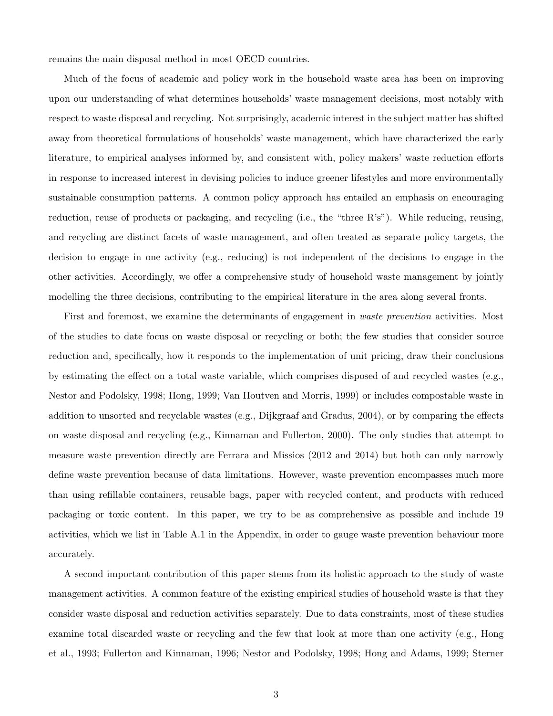remains the main disposal method in most OECD countries.

Much of the focus of academic and policy work in the household waste area has been on improving upon our understanding of what determines households' waste management decisions, most notably with respect to waste disposal and recycling. Not surprisingly, academic interest in the subject matter has shifted away from theoretical formulations of households' waste management, which have characterized the early literature, to empirical analyses informed by, and consistent with, policy makers' waste reduction efforts in response to increased interest in devising policies to induce greener lifestyles and more environmentally sustainable consumption patterns. A common policy approach has entailed an emphasis on encouraging reduction, reuse of products or packaging, and recycling (i.e., the "three R's"). While reducing, reusing, and recycling are distinct facets of waste management, and often treated as separate policy targets, the decision to engage in one activity (e.g., reducing) is not independent of the decisions to engage in the other activities. Accordingly, we offer a comprehensive study of household waste management by jointly modelling the three decisions, contributing to the empirical literature in the area along several fronts.

First and foremost, we examine the determinants of engagement in waste prevention activities. Most of the studies to date focus on waste disposal or recycling or both; the few studies that consider source reduction and, specifically, how it responds to the implementation of unit pricing, draw their conclusions by estimating the effect on a total waste variable, which comprises disposed of and recycled wastes (e.g., Nestor and Podolsky, 1998; Hong, 1999; Van Houtven and Morris, 1999) or includes compostable waste in addition to unsorted and recyclable wastes (e.g., Dijkgraaf and Gradus, 2004), or by comparing the effects on waste disposal and recycling (e.g., Kinnaman and Fullerton, 2000). The only studies that attempt to measure waste prevention directly are Ferrara and Missios (2012 and 2014) but both can only narrowly define waste prevention because of data limitations. However, waste prevention encompasses much more than using refillable containers, reusable bags, paper with recycled content, and products with reduced packaging or toxic content. In this paper, we try to be as comprehensive as possible and include 19 activities, which we list in Table A.1 in the Appendix, in order to gauge waste prevention behaviour more accurately.

A second important contribution of this paper stems from its holistic approach to the study of waste management activities. A common feature of the existing empirical studies of household waste is that they consider waste disposal and reduction activities separately. Due to data constraints, most of these studies examine total discarded waste or recycling and the few that look at more than one activity (e.g., Hong et al., 1993; Fullerton and Kinnaman, 1996; Nestor and Podolsky, 1998; Hong and Adams, 1999; Sterner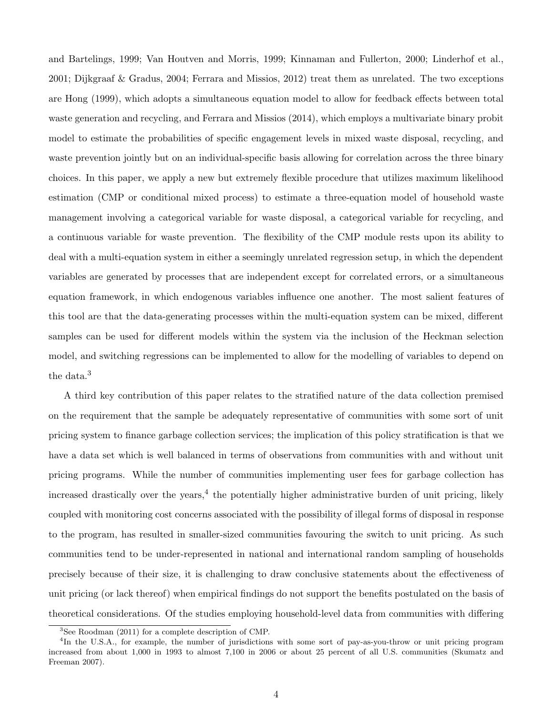and Bartelings, 1999; Van Houtven and Morris, 1999; Kinnaman and Fullerton, 2000; Linderhof et al., 2001; Dijkgraaf & Gradus, 2004; Ferrara and Missios, 2012) treat them as unrelated. The two exceptions are Hong (1999), which adopts a simultaneous equation model to allow for feedback effects between total waste generation and recycling, and Ferrara and Missios (2014), which employs a multivariate binary probit model to estimate the probabilities of specific engagement levels in mixed waste disposal, recycling, and waste prevention jointly but on an individual-specific basis allowing for correlation across the three binary choices. In this paper, we apply a new but extremely flexible procedure that utilizes maximum likelihood estimation (CMP or conditional mixed process) to estimate a three-equation model of household waste management involving a categorical variable for waste disposal, a categorical variable for recycling, and a continuous variable for waste prevention. The flexibility of the CMP module rests upon its ability to deal with a multi-equation system in either a seemingly unrelated regression setup, in which the dependent variables are generated by processes that are independent except for correlated errors, or a simultaneous equation framework, in which endogenous variables influence one another. The most salient features of this tool are that the data-generating processes within the multi-equation system can be mixed, different samples can be used for different models within the system via the inclusion of the Heckman selection model, and switching regressions can be implemented to allow for the modelling of variables to depend on the data.<sup>3</sup>

A third key contribution of this paper relates to the stratified nature of the data collection premised on the requirement that the sample be adequately representative of communities with some sort of unit pricing system to finance garbage collection services; the implication of this policy stratification is that we have a data set which is well balanced in terms of observations from communities with and without unit pricing programs. While the number of communities implementing user fees for garbage collection has increased drastically over the years,<sup>4</sup> the potentially higher administrative burden of unit pricing, likely coupled with monitoring cost concerns associated with the possibility of illegal forms of disposal in response to the program, has resulted in smaller-sized communities favouring the switch to unit pricing. As such communities tend to be under-represented in national and international random sampling of households precisely because of their size, it is challenging to draw conclusive statements about the effectiveness of unit pricing (or lack thereof) when empirical findings do not support the benefits postulated on the basis of theoretical considerations. Of the studies employing household-level data from communities with differing

<sup>3</sup>See Roodman (2011) for a complete description of CMP.

<sup>&</sup>lt;sup>4</sup>In the U.S.A., for example, the number of jurisdictions with some sort of pay-as-you-throw or unit pricing program increased from about 1,000 in 1993 to almost 7,100 in 2006 or about 25 percent of all U.S. communities (Skumatz and Freeman 2007).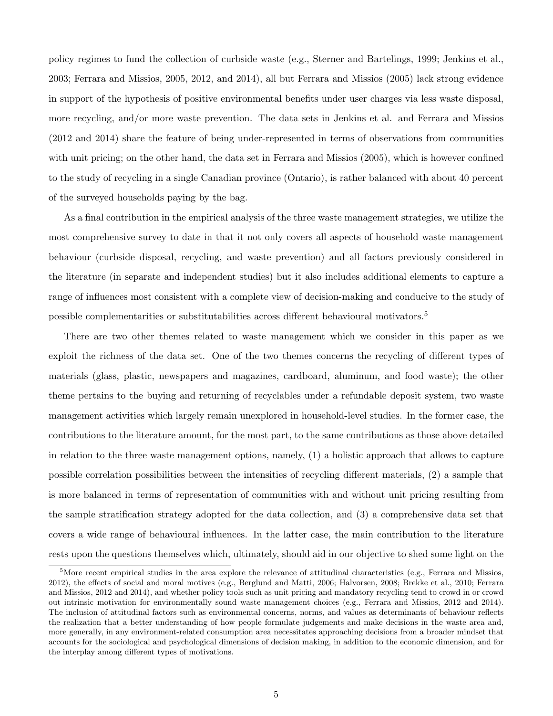policy regimes to fund the collection of curbside waste (e.g., Sterner and Bartelings, 1999; Jenkins et al., 2003; Ferrara and Missios, 2005, 2012, and 2014), all but Ferrara and Missios (2005) lack strong evidence in support of the hypothesis of positive environmental benefits under user charges via less waste disposal, more recycling, and/or more waste prevention. The data sets in Jenkins et al. and Ferrara and Missios (2012 and 2014) share the feature of being under-represented in terms of observations from communities with unit pricing; on the other hand, the data set in Ferrara and Missios (2005), which is however confined to the study of recycling in a single Canadian province (Ontario), is rather balanced with about 40 percent of the surveyed households paying by the bag.

As a final contribution in the empirical analysis of the three waste management strategies, we utilize the most comprehensive survey to date in that it not only covers all aspects of household waste management behaviour (curbside disposal, recycling, and waste prevention) and all factors previously considered in the literature (in separate and independent studies) but it also includes additional elements to capture a range of influences most consistent with a complete view of decision-making and conducive to the study of possible complementarities or substitutabilities across different behavioural motivators.<sup>5</sup>

There are two other themes related to waste management which we consider in this paper as we exploit the richness of the data set. One of the two themes concerns the recycling of different types of materials (glass, plastic, newspapers and magazines, cardboard, aluminum, and food waste); the other theme pertains to the buying and returning of recyclables under a refundable deposit system, two waste management activities which largely remain unexplored in household-level studies. In the former case, the contributions to the literature amount, for the most part, to the same contributions as those above detailed in relation to the three waste management options, namely, (1) a holistic approach that allows to capture possible correlation possibilities between the intensities of recycling different materials, (2) a sample that is more balanced in terms of representation of communities with and without unit pricing resulting from the sample stratification strategy adopted for the data collection, and (3) a comprehensive data set that covers a wide range of behavioural influences. In the latter case, the main contribution to the literature rests upon the questions themselves which, ultimately, should aid in our objective to shed some light on the

 $5$ More recent empirical studies in the area explore the relevance of attitudinal characteristics (e.g., Ferrara and Missios, 2012), the effects of social and moral motives (e.g., Berglund and Matti, 2006; Halvorsen, 2008; Brekke et al., 2010; Ferrara and Missios, 2012 and 2014), and whether policy tools such as unit pricing and mandatory recycling tend to crowd in or crowd out intrinsic motivation for environmentally sound waste management choices (e.g., Ferrara and Missios, 2012 and 2014). The inclusion of attitudinal factors such as environmental concerns, norms, and values as determinants of behaviour reflects the realization that a better understanding of how people formulate judgements and make decisions in the waste area and, more generally, in any environment-related consumption area necessitates approaching decisions from a broader mindset that accounts for the sociological and psychological dimensions of decision making, in addition to the economic dimension, and for the interplay among different types of motivations.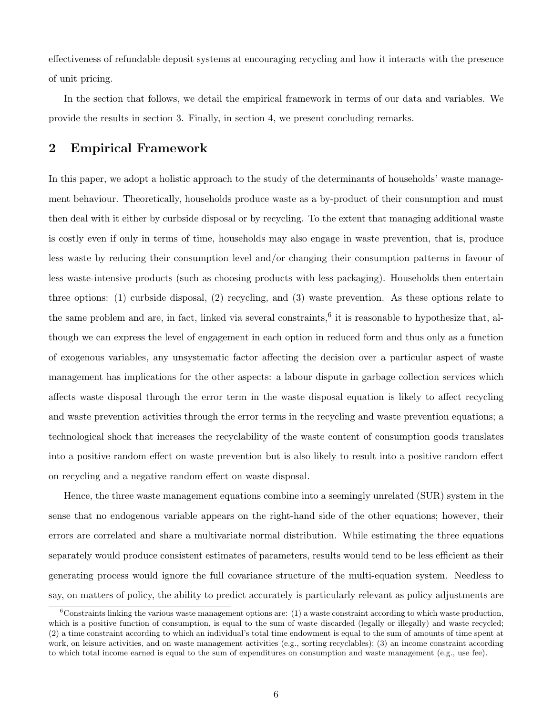effectiveness of refundable deposit systems at encouraging recycling and how it interacts with the presence of unit pricing.

In the section that follows, we detail the empirical framework in terms of our data and variables. We provide the results in section 3. Finally, in section 4, we present concluding remarks.

# 2 Empirical Framework

In this paper, we adopt a holistic approach to the study of the determinants of households' waste management behaviour. Theoretically, households produce waste as a by-product of their consumption and must then deal with it either by curbside disposal or by recycling. To the extent that managing additional waste is costly even if only in terms of time, households may also engage in waste prevention, that is, produce less waste by reducing their consumption level and/or changing their consumption patterns in favour of less waste-intensive products (such as choosing products with less packaging). Households then entertain three options: (1) curbside disposal, (2) recycling, and (3) waste prevention. As these options relate to the same problem and are, in fact, linked via several constraints,<sup>6</sup> it is reasonable to hypothesize that, although we can express the level of engagement in each option in reduced form and thus only as a function of exogenous variables, any unsystematic factor affecting the decision over a particular aspect of waste management has implications for the other aspects: a labour dispute in garbage collection services which affects waste disposal through the error term in the waste disposal equation is likely to affect recycling and waste prevention activities through the error terms in the recycling and waste prevention equations; a technological shock that increases the recyclability of the waste content of consumption goods translates into a positive random effect on waste prevention but is also likely to result into a positive random effect on recycling and a negative random effect on waste disposal.

Hence, the three waste management equations combine into a seemingly unrelated (SUR) system in the sense that no endogenous variable appears on the right-hand side of the other equations; however, their errors are correlated and share a multivariate normal distribution. While estimating the three equations separately would produce consistent estimates of parameters, results would tend to be less efficient as their generating process would ignore the full covariance structure of the multi-equation system. Needless to say, on matters of policy, the ability to predict accurately is particularly relevant as policy adjustments are

 ${}^6$ Constraints linking the various waste management options are: (1) a waste constraint according to which waste production. which is a positive function of consumption, is equal to the sum of waste discarded (legally or illegally) and waste recycled; (2) a time constraint according to which an individual's total time endowment is equal to the sum of amounts of time spent at work, on leisure activities, and on waste management activities (e.g., sorting recyclables); (3) an income constraint according to which total income earned is equal to the sum of expenditures on consumption and waste management (e.g., use fee).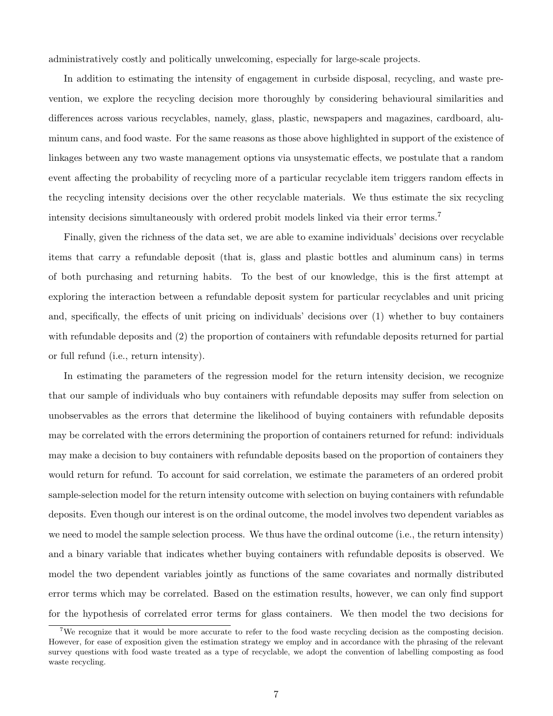administratively costly and politically unwelcoming, especially for large-scale projects.

In addition to estimating the intensity of engagement in curbside disposal, recycling, and waste prevention, we explore the recycling decision more thoroughly by considering behavioural similarities and differences across various recyclables, namely, glass, plastic, newspapers and magazines, cardboard, aluminum cans, and food waste. For the same reasons as those above highlighted in support of the existence of linkages between any two waste management options via unsystematic effects, we postulate that a random event affecting the probability of recycling more of a particular recyclable item triggers random effects in the recycling intensity decisions over the other recyclable materials. We thus estimate the six recycling intensity decisions simultaneously with ordered probit models linked via their error terms.<sup>7</sup>

Finally, given the richness of the data set, we are able to examine individuals' decisions over recyclable items that carry a refundable deposit (that is, glass and plastic bottles and aluminum cans) in terms of both purchasing and returning habits. To the best of our knowledge, this is the first attempt at exploring the interaction between a refundable deposit system for particular recyclables and unit pricing and, specifically, the effects of unit pricing on individuals' decisions over (1) whether to buy containers with refundable deposits and (2) the proportion of containers with refundable deposits returned for partial or full refund (i.e., return intensity).

In estimating the parameters of the regression model for the return intensity decision, we recognize that our sample of individuals who buy containers with refundable deposits may suffer from selection on unobservables as the errors that determine the likelihood of buying containers with refundable deposits may be correlated with the errors determining the proportion of containers returned for refund: individuals may make a decision to buy containers with refundable deposits based on the proportion of containers they would return for refund. To account for said correlation, we estimate the parameters of an ordered probit sample-selection model for the return intensity outcome with selection on buying containers with refundable deposits. Even though our interest is on the ordinal outcome, the model involves two dependent variables as we need to model the sample selection process. We thus have the ordinal outcome (i.e., the return intensity) and a binary variable that indicates whether buying containers with refundable deposits is observed. We model the two dependent variables jointly as functions of the same covariates and normally distributed error terms which may be correlated. Based on the estimation results, however, we can only find support for the hypothesis of correlated error terms for glass containers. We then model the two decisions for

<sup>&</sup>lt;sup>7</sup>We recognize that it would be more accurate to refer to the food waste recycling decision as the composting decision. However, for ease of exposition given the estimation strategy we employ and in accordance with the phrasing of the relevant survey questions with food waste treated as a type of recyclable, we adopt the convention of labelling composting as food waste recycling.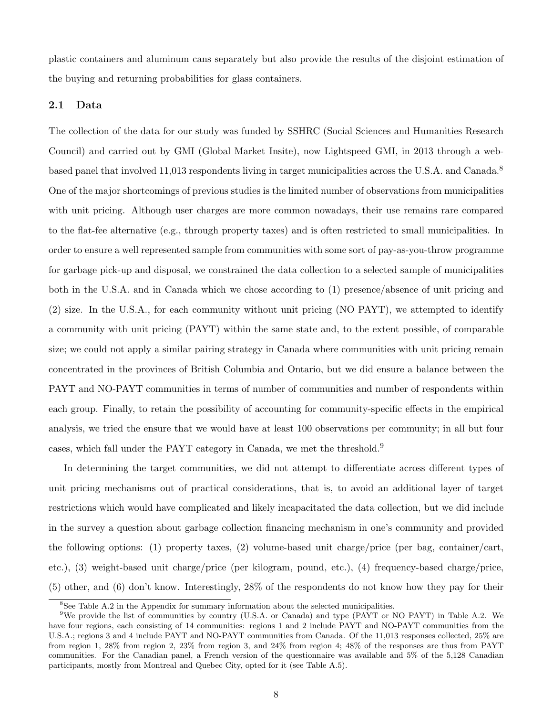plastic containers and aluminum cans separately but also provide the results of the disjoint estimation of the buying and returning probabilities for glass containers.

## 2.1 Data

The collection of the data for our study was funded by SSHRC (Social Sciences and Humanities Research Council) and carried out by GMI (Global Market Insite), now Lightspeed GMI, in 2013 through a webbased panel that involved 11,013 respondents living in target municipalities across the U.S.A. and Canada.<sup>8</sup> One of the major shortcomings of previous studies is the limited number of observations from municipalities with unit pricing. Although user charges are more common nowadays, their use remains rare compared to the flat-fee alternative (e.g., through property taxes) and is often restricted to small municipalities. In order to ensure a well represented sample from communities with some sort of pay-as-you-throw programme for garbage pick-up and disposal, we constrained the data collection to a selected sample of municipalities both in the U.S.A. and in Canada which we chose according to (1) presence/absence of unit pricing and (2) size. In the U.S.A., for each community without unit pricing (NO PAYT), we attempted to identify a community with unit pricing (PAYT) within the same state and, to the extent possible, of comparable size; we could not apply a similar pairing strategy in Canada where communities with unit pricing remain concentrated in the provinces of British Columbia and Ontario, but we did ensure a balance between the PAYT and NO-PAYT communities in terms of number of communities and number of respondents within each group. Finally, to retain the possibility of accounting for community-specific effects in the empirical analysis, we tried the ensure that we would have at least 100 observations per community; in all but four cases, which fall under the PAYT category in Canada, we met the threshold.<sup>9</sup>

In determining the target communities, we did not attempt to differentiate across different types of unit pricing mechanisms out of practical considerations, that is, to avoid an additional layer of target restrictions which would have complicated and likely incapacitated the data collection, but we did include in the survey a question about garbage collection financing mechanism in one's community and provided the following options: (1) property taxes, (2) volume-based unit charge/price (per bag, container/cart, etc.), (3) weight-based unit charge/price (per kilogram, pound, etc.), (4) frequency-based charge/price, (5) other, and (6) don't know. Interestingly, 28% of the respondents do not know how they pay for their

<sup>8</sup>See Table A.2 in the Appendix for summary information about the selected municipalities.

<sup>9</sup>We provide the list of communities by country (U.S.A. or Canada) and type (PAYT or NO PAYT) in Table A.2. We have four regions, each consisting of 14 communities: regions 1 and 2 include PAYT and NO-PAYT communities from the U.S.A.; regions 3 and 4 include PAYT and NO-PAYT communities from Canada. Of the 11,013 responses collected, 25% are from region 1, 28% from region 2, 23% from region 3, and 24% from region 4; 48% of the responses are thus from PAYT communities. For the Canadian panel, a French version of the questionnaire was available and 5% of the 5,128 Canadian participants, mostly from Montreal and Quebec City, opted for it (see Table A.5).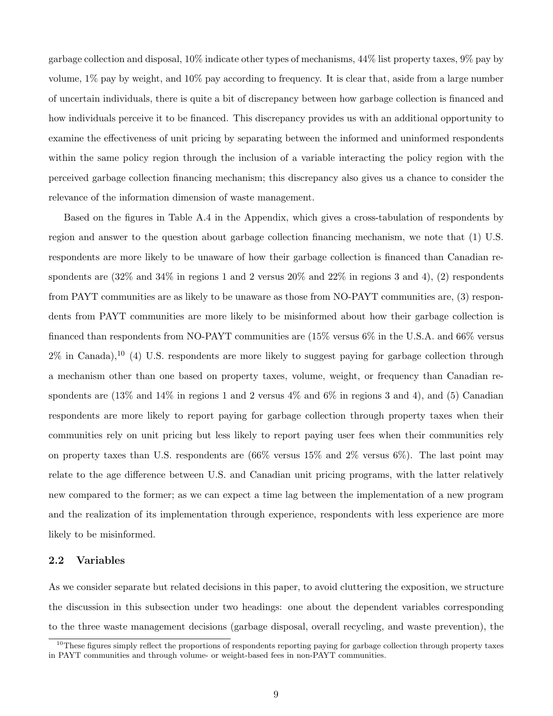garbage collection and disposal, 10% indicate other types of mechanisms, 44% list property taxes, 9% pay by volume, 1% pay by weight, and 10% pay according to frequency. It is clear that, aside from a large number of uncertain individuals, there is quite a bit of discrepancy between how garbage collection is financed and how individuals perceive it to be financed. This discrepancy provides us with an additional opportunity to examine the effectiveness of unit pricing by separating between the informed and uninformed respondents within the same policy region through the inclusion of a variable interacting the policy region with the perceived garbage collection financing mechanism; this discrepancy also gives us a chance to consider the relevance of the information dimension of waste management.

Based on the figures in Table A.4 in the Appendix, which gives a cross-tabulation of respondents by region and answer to the question about garbage collection financing mechanism, we note that (1) U.S. respondents are more likely to be unaware of how their garbage collection is financed than Canadian respondents are (32% and 34% in regions 1 and 2 versus 20% and 22% in regions 3 and 4), (2) respondents from PAYT communities are as likely to be unaware as those from NO-PAYT communities are, (3) respondents from PAYT communities are more likely to be misinformed about how their garbage collection is financed than respondents from NO-PAYT communities are (15% versus 6% in the U.S.A. and 66% versus  $2\%$  in Canada),<sup>10</sup> (4) U.S. respondents are more likely to suggest paying for garbage collection through a mechanism other than one based on property taxes, volume, weight, or frequency than Canadian respondents are (13% and 14% in regions 1 and 2 versus 4% and 6% in regions 3 and 4), and (5) Canadian respondents are more likely to report paying for garbage collection through property taxes when their communities rely on unit pricing but less likely to report paying user fees when their communities rely on property taxes than U.S. respondents are  $(66\%$  versus  $15\%$  and  $2\%$  versus  $6\%$ ). The last point may relate to the age difference between U.S. and Canadian unit pricing programs, with the latter relatively new compared to the former; as we can expect a time lag between the implementation of a new program and the realization of its implementation through experience, respondents with less experience are more likely to be misinformed.

## 2.2 Variables

As we consider separate but related decisions in this paper, to avoid cluttering the exposition, we structure the discussion in this subsection under two headings: one about the dependent variables corresponding to the three waste management decisions (garbage disposal, overall recycling, and waste prevention), the

 $10$ These figures simply reflect the proportions of respondents reporting paying for garbage collection through property taxes in PAYT communities and through volume- or weight-based fees in non-PAYT communities.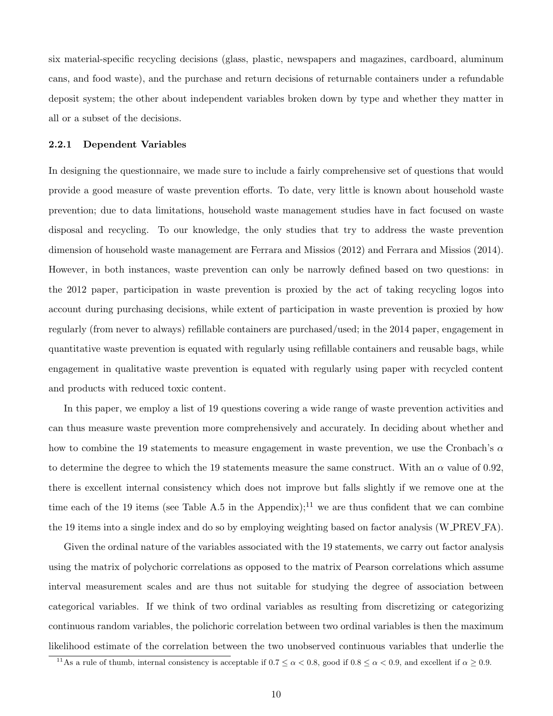six material-specific recycling decisions (glass, plastic, newspapers and magazines, cardboard, aluminum cans, and food waste), and the purchase and return decisions of returnable containers under a refundable deposit system; the other about independent variables broken down by type and whether they matter in all or a subset of the decisions.

#### 2.2.1 Dependent Variables

In designing the questionnaire, we made sure to include a fairly comprehensive set of questions that would provide a good measure of waste prevention efforts. To date, very little is known about household waste prevention; due to data limitations, household waste management studies have in fact focused on waste disposal and recycling. To our knowledge, the only studies that try to address the waste prevention dimension of household waste management are Ferrara and Missios (2012) and Ferrara and Missios (2014). However, in both instances, waste prevention can only be narrowly defined based on two questions: in the 2012 paper, participation in waste prevention is proxied by the act of taking recycling logos into account during purchasing decisions, while extent of participation in waste prevention is proxied by how regularly (from never to always) refillable containers are purchased/used; in the 2014 paper, engagement in quantitative waste prevention is equated with regularly using refillable containers and reusable bags, while engagement in qualitative waste prevention is equated with regularly using paper with recycled content and products with reduced toxic content.

In this paper, we employ a list of 19 questions covering a wide range of waste prevention activities and can thus measure waste prevention more comprehensively and accurately. In deciding about whether and how to combine the 19 statements to measure engagement in waste prevention, we use the Cronbach's  $\alpha$ to determine the degree to which the 19 statements measure the same construct. With an  $\alpha$  value of 0.92, there is excellent internal consistency which does not improve but falls slightly if we remove one at the time each of the 19 items (see Table A.5 in the Appendix);<sup>11</sup> we are thus confident that we can combine the 19 items into a single index and do so by employing weighting based on factor analysis (W PREV FA).

Given the ordinal nature of the variables associated with the 19 statements, we carry out factor analysis using the matrix of polychoric correlations as opposed to the matrix of Pearson correlations which assume interval measurement scales and are thus not suitable for studying the degree of association between categorical variables. If we think of two ordinal variables as resulting from discretizing or categorizing continuous random variables, the polichoric correlation between two ordinal variables is then the maximum likelihood estimate of the correlation between the two unobserved continuous variables that underlie the

<sup>&</sup>lt;sup>11</sup>As a rule of thumb, internal consistency is acceptable if  $0.7 \le \alpha < 0.8$ , good if  $0.8 \le \alpha < 0.9$ , and excellent if  $\alpha \ge 0.9$ .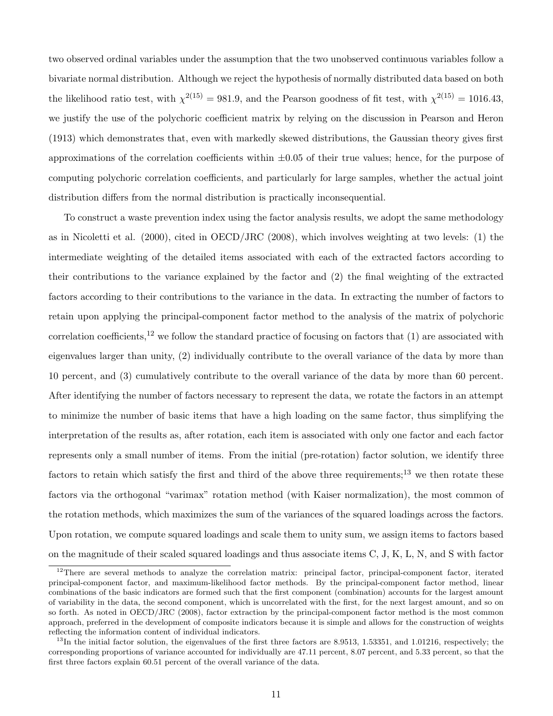two observed ordinal variables under the assumption that the two unobserved continuous variables follow a bivariate normal distribution. Although we reject the hypothesis of normally distributed data based on both the likelihood ratio test, with  $\chi^{2(15)} = 981.9$ , and the Pearson goodness of fit test, with  $\chi^{2(15)} = 1016.43$ , we justify the use of the polychoric coefficient matrix by relying on the discussion in Pearson and Heron (1913) which demonstrates that, even with markedly skewed distributions, the Gaussian theory gives first approximations of the correlation coefficients within  $\pm 0.05$  of their true values; hence, for the purpose of computing polychoric correlation coefficients, and particularly for large samples, whether the actual joint distribution differs from the normal distribution is practically inconsequential.

To construct a waste prevention index using the factor analysis results, we adopt the same methodology as in Nicoletti et al. (2000), cited in OECD/JRC (2008), which involves weighting at two levels: (1) the intermediate weighting of the detailed items associated with each of the extracted factors according to their contributions to the variance explained by the factor and (2) the final weighting of the extracted factors according to their contributions to the variance in the data. In extracting the number of factors to retain upon applying the principal-component factor method to the analysis of the matrix of polychoric correlation coefficients,<sup>12</sup> we follow the standard practice of focusing on factors that  $(1)$  are associated with eigenvalues larger than unity, (2) individually contribute to the overall variance of the data by more than 10 percent, and (3) cumulatively contribute to the overall variance of the data by more than 60 percent. After identifying the number of factors necessary to represent the data, we rotate the factors in an attempt to minimize the number of basic items that have a high loading on the same factor, thus simplifying the interpretation of the results as, after rotation, each item is associated with only one factor and each factor represents only a small number of items. From the initial (pre-rotation) factor solution, we identify three factors to retain which satisfy the first and third of the above three requirements;<sup>13</sup> we then rotate these factors via the orthogonal "varimax" rotation method (with Kaiser normalization), the most common of the rotation methods, which maximizes the sum of the variances of the squared loadings across the factors. Upon rotation, we compute squared loadings and scale them to unity sum, we assign items to factors based on the magnitude of their scaled squared loadings and thus associate items C, J, K, L, N, and S with factor

<sup>&</sup>lt;sup>12</sup>There are several methods to analyze the correlation matrix: principal factor, principal-component factor, iterated principal-component factor, and maximum-likelihood factor methods. By the principal-component factor method, linear combinations of the basic indicators are formed such that the first component (combination) accounts for the largest amount of variability in the data, the second component, which is uncorrelated with the first, for the next largest amount, and so on so forth. As noted in OECD/JRC (2008), factor extraction by the principal-component factor method is the most common approach, preferred in the development of composite indicators because it is simple and allows for the construction of weights reflecting the information content of individual indicators.

 $^{13}$ In the initial factor solution, the eigenvalues of the first three factors are 8.9513, 1.53351, and 1.01216, respectively; the corresponding proportions of variance accounted for individually are 47.11 percent, 8.07 percent, and 5.33 percent, so that the first three factors explain 60.51 percent of the overall variance of the data.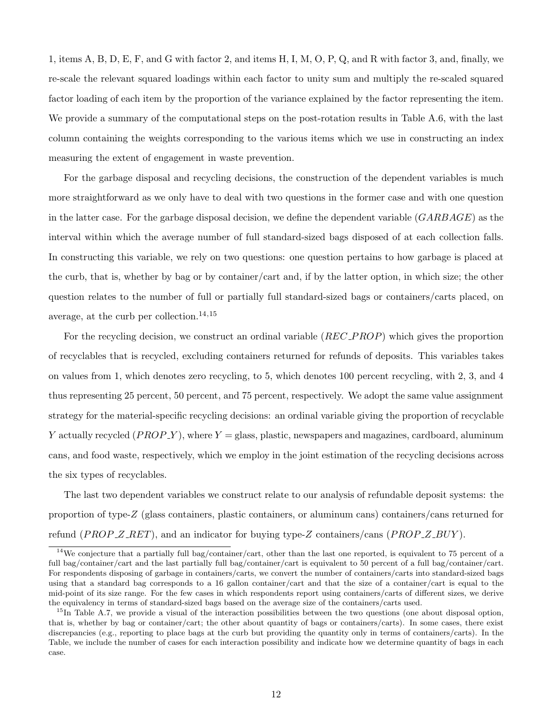1, items A, B, D, E, F, and G with factor 2, and items H, I, M, O, P, Q, and R with factor 3, and, finally, we re-scale the relevant squared loadings within each factor to unity sum and multiply the re-scaled squared factor loading of each item by the proportion of the variance explained by the factor representing the item. We provide a summary of the computational steps on the post-rotation results in Table A.6, with the last column containing the weights corresponding to the various items which we use in constructing an index measuring the extent of engagement in waste prevention.

For the garbage disposal and recycling decisions, the construction of the dependent variables is much more straightforward as we only have to deal with two questions in the former case and with one question in the latter case. For the garbage disposal decision, we define the dependent variable  $(GARBAGE)$  as the interval within which the average number of full standard-sized bags disposed of at each collection falls. In constructing this variable, we rely on two questions: one question pertains to how garbage is placed at the curb, that is, whether by bag or by container/cart and, if by the latter option, in which size; the other question relates to the number of full or partially full standard-sized bags or containers/carts placed, on average, at the curb per collection.<sup>14,15</sup>

For the recycling decision, we construct an ordinal variable (REC\_PROP) which gives the proportion of recyclables that is recycled, excluding containers returned for refunds of deposits. This variables takes on values from 1, which denotes zero recycling, to 5, which denotes 100 percent recycling, with 2, 3, and 4 thus representing 25 percent, 50 percent, and 75 percent, respectively. We adopt the same value assignment strategy for the material-specific recycling decisions: an ordinal variable giving the proportion of recyclable Y actually recycled  $(PROP_Y)$ , where  $Y =$  glass, plastic, newspapers and magazines, cardboard, aluminum cans, and food waste, respectively, which we employ in the joint estimation of the recycling decisions across the six types of recyclables.

The last two dependent variables we construct relate to our analysis of refundable deposit systems: the proportion of type-Z (glass containers, plastic containers, or aluminum cans) containers/cans returned for refund (*PROP\_Z\_RET*), and an indicator for buying type-Z containers/cans (*PROP\_Z\_BUY*).

<sup>&</sup>lt;sup>14</sup>We conjecture that a partially full bag/container/cart, other than the last one reported, is equivalent to 75 percent of a full bag/container/cart and the last partially full bag/container/cart is equivalent to 50 percent of a full bag/container/cart. For respondents disposing of garbage in containers/carts, we convert the number of containers/carts into standard-sized bags using that a standard bag corresponds to a 16 gallon container/cart and that the size of a container/cart is equal to the mid-point of its size range. For the few cases in which respondents report using containers/carts of different sizes, we derive the equivalency in terms of standard-sized bags based on the average size of the containers/carts used.

 $15$ In Table A.7, we provide a visual of the interaction possibilities between the two questions (one about disposal option, that is, whether by bag or container/cart; the other about quantity of bags or containers/carts). In some cases, there exist discrepancies (e.g., reporting to place bags at the curb but providing the quantity only in terms of containers/carts). In the Table, we include the number of cases for each interaction possibility and indicate how we determine quantity of bags in each case.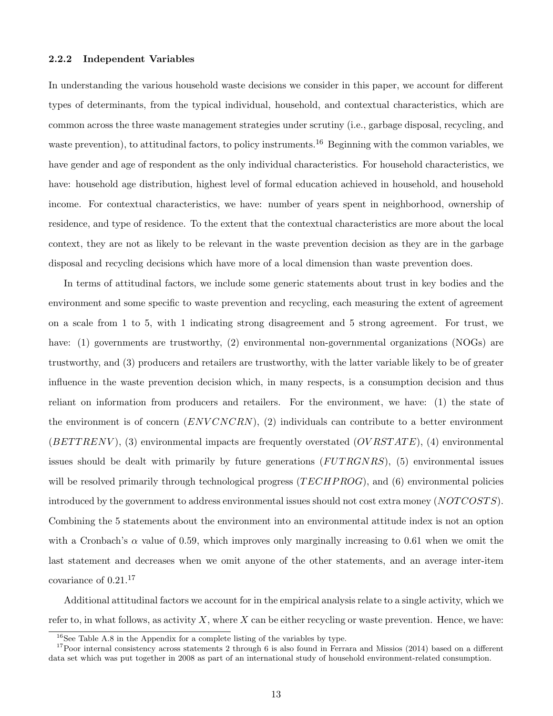#### 2.2.2 Independent Variables

In understanding the various household waste decisions we consider in this paper, we account for different types of determinants, from the typical individual, household, and contextual characteristics, which are common across the three waste management strategies under scrutiny (i.e., garbage disposal, recycling, and waste prevention), to attitudinal factors, to policy instruments.<sup>16</sup> Beginning with the common variables, we have gender and age of respondent as the only individual characteristics. For household characteristics, we have: household age distribution, highest level of formal education achieved in household, and household income. For contextual characteristics, we have: number of years spent in neighborhood, ownership of residence, and type of residence. To the extent that the contextual characteristics are more about the local context, they are not as likely to be relevant in the waste prevention decision as they are in the garbage disposal and recycling decisions which have more of a local dimension than waste prevention does.

In terms of attitudinal factors, we include some generic statements about trust in key bodies and the environment and some specific to waste prevention and recycling, each measuring the extent of agreement on a scale from 1 to 5, with 1 indicating strong disagreement and 5 strong agreement. For trust, we have: (1) governments are trustworthy, (2) environmental non-governmental organizations (NOGs) are trustworthy, and (3) producers and retailers are trustworthy, with the latter variable likely to be of greater influence in the waste prevention decision which, in many respects, is a consumption decision and thus reliant on information from producers and retailers. For the environment, we have: (1) the state of the environment is of concern  $(ENVCNCRN)$ , (2) individuals can contribute to a better environment  $(BETTRENV)$ , (3) environmental impacts are frequently overstated  $(OVRSTATE)$ , (4) environmental issues should be dealt with primarily by future generations  $(FUTRGNRS)$ , (5) environmental issues will be resolved primarily through technological progress  $(TECHP ROG)$ , and  $(6)$  environmental policies introduced by the government to address environmental issues should not cost extra money (NOTCOSTS). Combining the 5 statements about the environment into an environmental attitude index is not an option with a Cronbach's  $\alpha$  value of 0.59, which improves only marginally increasing to 0.61 when we omit the last statement and decreases when we omit anyone of the other statements, and an average inter-item covariance of 0.21.<sup>17</sup>

Additional attitudinal factors we account for in the empirical analysis relate to a single activity, which we refer to, in what follows, as activity X, where X can be either recycling or waste prevention. Hence, we have:

 $16$ See Table A.8 in the Appendix for a complete listing of the variables by type.

 $17$ Poor internal consistency across statements 2 through 6 is also found in Ferrara and Missios (2014) based on a different data set which was put together in 2008 as part of an international study of household environment-related consumption.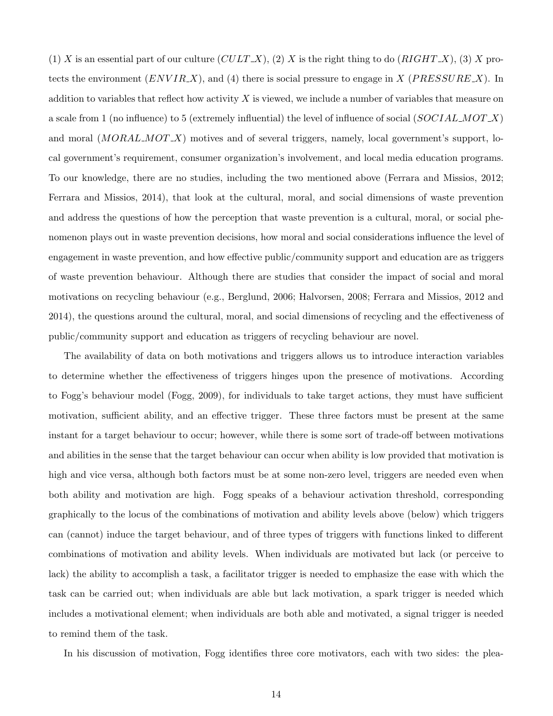(1) X is an essential part of our culture  $(CULT X)$ , (2) X is the right thing to do  $(RIGHT X)$ , (3) X protects the environment  $(ENVIR.X)$ , and (4) there is social pressure to engage in X (PRESSURE X). In addition to variables that reflect how activity  $X$  is viewed, we include a number of variables that measure on a scale from 1 (no influence) to 5 (extremely influential) the level of influence of social  $(SOCIALMOTX)$ and moral  $(MORAL_MOTX)$  motives and of several triggers, namely, local government's support, local government's requirement, consumer organization's involvement, and local media education programs. To our knowledge, there are no studies, including the two mentioned above (Ferrara and Missios, 2012; Ferrara and Missios, 2014), that look at the cultural, moral, and social dimensions of waste prevention and address the questions of how the perception that waste prevention is a cultural, moral, or social phenomenon plays out in waste prevention decisions, how moral and social considerations influence the level of engagement in waste prevention, and how effective public/community support and education are as triggers of waste prevention behaviour. Although there are studies that consider the impact of social and moral motivations on recycling behaviour (e.g., Berglund, 2006; Halvorsen, 2008; Ferrara and Missios, 2012 and 2014), the questions around the cultural, moral, and social dimensions of recycling and the effectiveness of public/community support and education as triggers of recycling behaviour are novel.

The availability of data on both motivations and triggers allows us to introduce interaction variables to determine whether the effectiveness of triggers hinges upon the presence of motivations. According to Fogg's behaviour model (Fogg, 2009), for individuals to take target actions, they must have sufficient motivation, sufficient ability, and an effective trigger. These three factors must be present at the same instant for a target behaviour to occur; however, while there is some sort of trade-off between motivations and abilities in the sense that the target behaviour can occur when ability is low provided that motivation is high and vice versa, although both factors must be at some non-zero level, triggers are needed even when both ability and motivation are high. Fogg speaks of a behaviour activation threshold, corresponding graphically to the locus of the combinations of motivation and ability levels above (below) which triggers can (cannot) induce the target behaviour, and of three types of triggers with functions linked to different combinations of motivation and ability levels. When individuals are motivated but lack (or perceive to lack) the ability to accomplish a task, a facilitator trigger is needed to emphasize the ease with which the task can be carried out; when individuals are able but lack motivation, a spark trigger is needed which includes a motivational element; when individuals are both able and motivated, a signal trigger is needed to remind them of the task.

In his discussion of motivation, Fogg identifies three core motivators, each with two sides: the plea-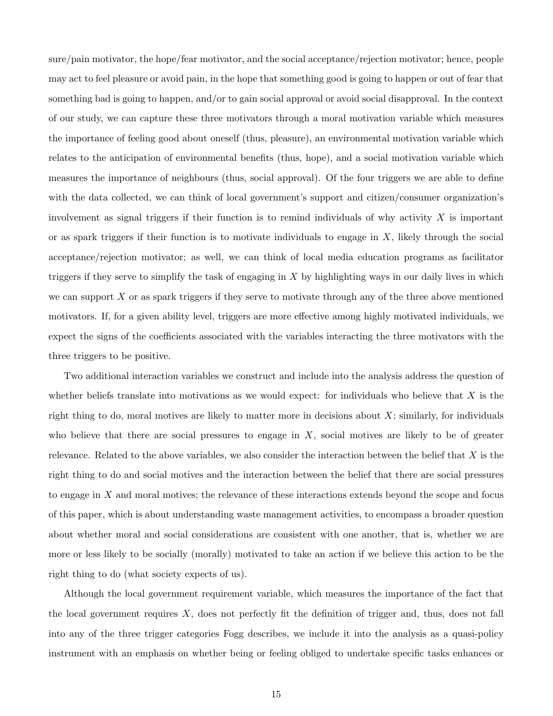sure/pain motivator, the hope/fear motivator, and the social acceptance/rejection motivator; hence, people may act to feel pleasure or avoid pain, in the hope that something good is going to happen or out of fear that something bad is going to happen, and/or to gain social approval or avoid social disapproval. In the context of our study, we can capture these three motivators through a moral motivation variable which measures the importance of feeling good about oneself (thus, pleasure), an environmental motivation variable which relates to the anticipation of environmental benefits (thus, hope), and a social motivation variable which measures the importance of neighbours (thus, social approval). Of the four triggers we are able to define with the data collected, we can think of local government's support and citizen/consumer organization's involvement as signal triggers if their function is to remind individuals of why activity  $X$  is important or as spark triggers if their function is to motivate individuals to engage in  $X$ , likely through the social acceptance/rejection motivator; as well, we can think of local media education programs as facilitator triggers if they serve to simplify the task of engaging in  $X$  by highlighting ways in our daily lives in which we can support  $X$  or as spark triggers if they serve to motivate through any of the three above mentioned motivators. If, for a given ability level, triggers are more effective among highly motivated individuals, we expect the signs of the coefficients associated with the variables interacting the three motivators with the three triggers to be positive.

Two additional interaction variables we construct and include into the analysis address the question of whether beliefs translate into motivations as we would expect: for individuals who believe that  $X$  is the right thing to do, moral motives are likely to matter more in decisions about  $X$ ; similarly, for individuals who believe that there are social pressures to engage in  $X$ , social motives are likely to be of greater relevance. Related to the above variables, we also consider the interaction between the belief that  $X$  is the right thing to do and social motives and the interaction between the belief that there are social pressures to engage in X and moral motives; the relevance of these interactions extends beyond the scope and focus of this paper, which is about understanding waste management activities, to encompass a broader question about whether moral and social considerations are consistent with one another, that is, whether we are more or less likely to be socially (morally) motivated to take an action if we believe this action to be the right thing to do (what society expects of us).

Although the local government requirement variable, which measures the importance of the fact that the local government requires  $X$ , does not perfectly fit the definition of trigger and, thus, does not fall into any of the three trigger categories Fogg describes, we include it into the analysis as a quasi-policy instrument with an emphasis on whether being or feeling obliged to undertake specific tasks enhances or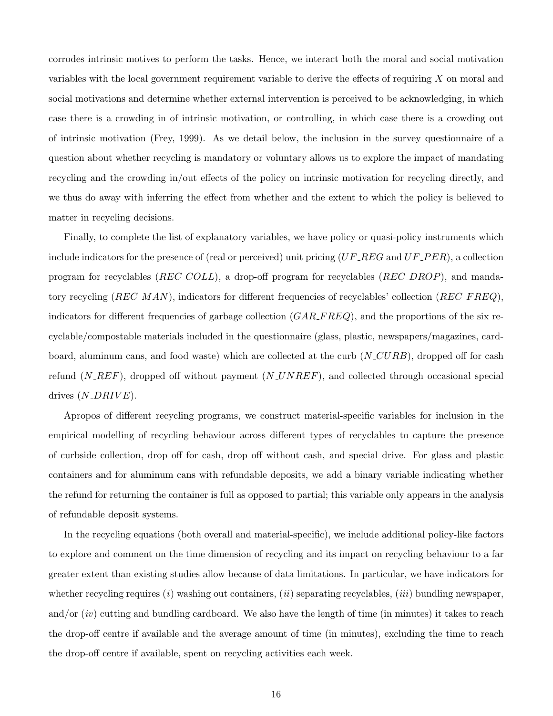corrodes intrinsic motives to perform the tasks. Hence, we interact both the moral and social motivation variables with the local government requirement variable to derive the effects of requiring X on moral and social motivations and determine whether external intervention is perceived to be acknowledging, in which case there is a crowding in of intrinsic motivation, or controlling, in which case there is a crowding out of intrinsic motivation (Frey, 1999). As we detail below, the inclusion in the survey questionnaire of a question about whether recycling is mandatory or voluntary allows us to explore the impact of mandating recycling and the crowding in/out effects of the policy on intrinsic motivation for recycling directly, and we thus do away with inferring the effect from whether and the extent to which the policy is believed to matter in recycling decisions.

Finally, to complete the list of explanatory variables, we have policy or quasi-policy instruments which include indicators for the presence of (real or perceived) unit pricing  $(UF\_REG$  and  $UF\_PER)$ , a collection program for recyclables (REC COLL), a drop-off program for recyclables (REC DROP), and mandatory recycling  $(REC\_MAN)$ , indicators for different frequencies of recyclables' collection  $(REC\_FREQ)$ , indicators for different frequencies of garbage collection  $(GAR\_FREQ)$ , and the proportions of the six recyclable/compostable materials included in the questionnaire (glass, plastic, newspapers/magazines, cardboard, aluminum cans, and food waste) which are collected at the curb  $(N_{\text{C}}URB)$ , dropped off for cash refund  $(N \nightharpoonup R \nightharpoonup F)$ , dropped off without payment  $(N \nightharpoonup N \nightharpoonup R \nightharpoonup F)$ , and collected through occasional special drives  $(N\_DRIVE)$ .

Apropos of different recycling programs, we construct material-specific variables for inclusion in the empirical modelling of recycling behaviour across different types of recyclables to capture the presence of curbside collection, drop off for cash, drop off without cash, and special drive. For glass and plastic containers and for aluminum cans with refundable deposits, we add a binary variable indicating whether the refund for returning the container is full as opposed to partial; this variable only appears in the analysis of refundable deposit systems.

In the recycling equations (both overall and material-specific), we include additional policy-like factors to explore and comment on the time dimension of recycling and its impact on recycling behaviour to a far greater extent than existing studies allow because of data limitations. In particular, we have indicators for whether recycling requires  $(i)$  washing out containers,  $(ii)$  separating recyclables,  $(iii)$  bundling newspaper, and/or  $(iv)$  cutting and bundling cardboard. We also have the length of time (in minutes) it takes to reach the drop-off centre if available and the average amount of time (in minutes), excluding the time to reach the drop-off centre if available, spent on recycling activities each week.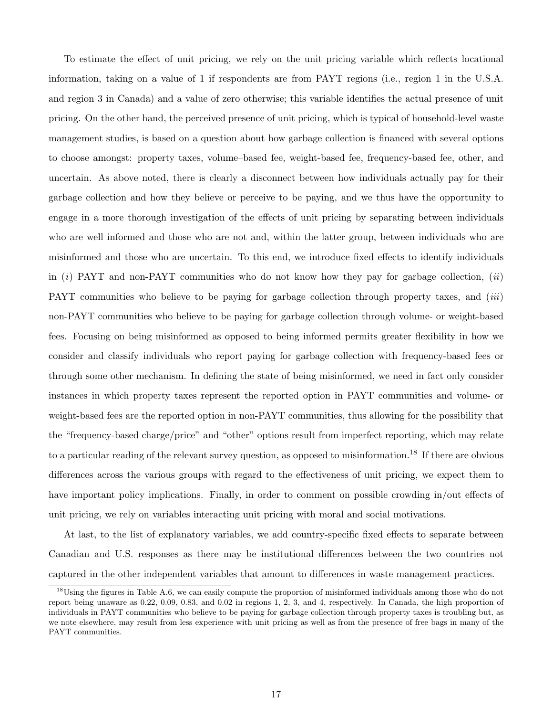To estimate the effect of unit pricing, we rely on the unit pricing variable which reflects locational information, taking on a value of 1 if respondents are from PAYT regions (i.e., region 1 in the U.S.A. and region 3 in Canada) and a value of zero otherwise; this variable identifies the actual presence of unit pricing. On the other hand, the perceived presence of unit pricing, which is typical of household-level waste management studies, is based on a question about how garbage collection is financed with several options to choose amongst: property taxes, volume–based fee, weight-based fee, frequency-based fee, other, and uncertain. As above noted, there is clearly a disconnect between how individuals actually pay for their garbage collection and how they believe or perceive to be paying, and we thus have the opportunity to engage in a more thorough investigation of the effects of unit pricing by separating between individuals who are well informed and those who are not and, within the latter group, between individuals who are misinformed and those who are uncertain. To this end, we introduce fixed effects to identify individuals in  $(i)$  PAYT and non-PAYT communities who do not know how they pay for garbage collection,  $(ii)$ PAYT communities who believe to be paying for garbage collection through property taxes, and *(iii)* non-PAYT communities who believe to be paying for garbage collection through volume- or weight-based fees. Focusing on being misinformed as opposed to being informed permits greater flexibility in how we consider and classify individuals who report paying for garbage collection with frequency-based fees or through some other mechanism. In defining the state of being misinformed, we need in fact only consider instances in which property taxes represent the reported option in PAYT communities and volume- or weight-based fees are the reported option in non-PAYT communities, thus allowing for the possibility that the "frequency-based charge/price" and "other" options result from imperfect reporting, which may relate to a particular reading of the relevant survey question, as opposed to misinformation.<sup>18</sup> If there are obvious differences across the various groups with regard to the effectiveness of unit pricing, we expect them to have important policy implications. Finally, in order to comment on possible crowding in/out effects of unit pricing, we rely on variables interacting unit pricing with moral and social motivations.

At last, to the list of explanatory variables, we add country-specific fixed effects to separate between Canadian and U.S. responses as there may be institutional differences between the two countries not captured in the other independent variables that amount to differences in waste management practices.

 $18$ Using the figures in Table A.6, we can easily compute the proportion of misinformed individuals among those who do not report being unaware as 0.22, 0.09, 0.83, and 0.02 in regions 1, 2, 3, and 4, respectively. In Canada, the high proportion of individuals in PAYT communities who believe to be paying for garbage collection through property taxes is troubling but, as we note elsewhere, may result from less experience with unit pricing as well as from the presence of free bags in many of the PAYT communities.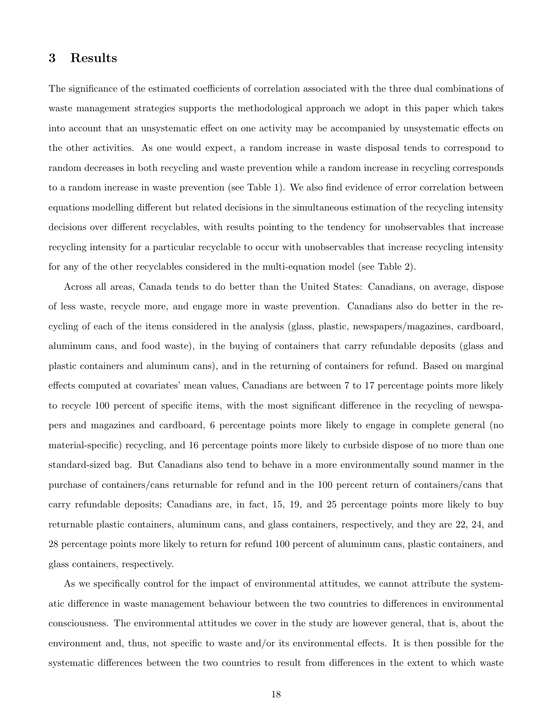# 3 Results

The significance of the estimated coefficients of correlation associated with the three dual combinations of waste management strategies supports the methodological approach we adopt in this paper which takes into account that an unsystematic effect on one activity may be accompanied by unsystematic effects on the other activities. As one would expect, a random increase in waste disposal tends to correspond to random decreases in both recycling and waste prevention while a random increase in recycling corresponds to a random increase in waste prevention (see Table 1). We also find evidence of error correlation between equations modelling different but related decisions in the simultaneous estimation of the recycling intensity decisions over different recyclables, with results pointing to the tendency for unobservables that increase recycling intensity for a particular recyclable to occur with unobservables that increase recycling intensity for any of the other recyclables considered in the multi-equation model (see Table 2).

Across all areas, Canada tends to do better than the United States: Canadians, on average, dispose of less waste, recycle more, and engage more in waste prevention. Canadians also do better in the recycling of each of the items considered in the analysis (glass, plastic, newspapers/magazines, cardboard, aluminum cans, and food waste), in the buying of containers that carry refundable deposits (glass and plastic containers and aluminum cans), and in the returning of containers for refund. Based on marginal effects computed at covariates' mean values, Canadians are between 7 to 17 percentage points more likely to recycle 100 percent of specific items, with the most significant difference in the recycling of newspapers and magazines and cardboard, 6 percentage points more likely to engage in complete general (no material-specific) recycling, and 16 percentage points more likely to curbside dispose of no more than one standard-sized bag. But Canadians also tend to behave in a more environmentally sound manner in the purchase of containers/cans returnable for refund and in the 100 percent return of containers/cans that carry refundable deposits; Canadians are, in fact, 15, 19, and 25 percentage points more likely to buy returnable plastic containers, aluminum cans, and glass containers, respectively, and they are 22, 24, and 28 percentage points more likely to return for refund 100 percent of aluminum cans, plastic containers, and glass containers, respectively.

As we specifically control for the impact of environmental attitudes, we cannot attribute the systematic difference in waste management behaviour between the two countries to differences in environmental consciousness. The environmental attitudes we cover in the study are however general, that is, about the environment and, thus, not specific to waste and/or its environmental effects. It is then possible for the systematic differences between the two countries to result from differences in the extent to which waste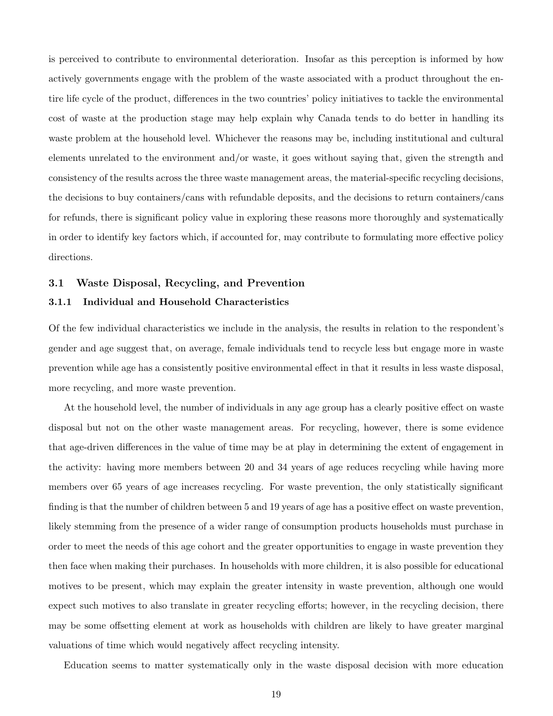is perceived to contribute to environmental deterioration. Insofar as this perception is informed by how actively governments engage with the problem of the waste associated with a product throughout the entire life cycle of the product, differences in the two countries' policy initiatives to tackle the environmental cost of waste at the production stage may help explain why Canada tends to do better in handling its waste problem at the household level. Whichever the reasons may be, including institutional and cultural elements unrelated to the environment and/or waste, it goes without saying that, given the strength and consistency of the results across the three waste management areas, the material-specific recycling decisions, the decisions to buy containers/cans with refundable deposits, and the decisions to return containers/cans for refunds, there is significant policy value in exploring these reasons more thoroughly and systematically in order to identify key factors which, if accounted for, may contribute to formulating more effective policy directions.

# 3.1 Waste Disposal, Recycling, and Prevention

#### 3.1.1 Individual and Household Characteristics

Of the few individual characteristics we include in the analysis, the results in relation to the respondent's gender and age suggest that, on average, female individuals tend to recycle less but engage more in waste prevention while age has a consistently positive environmental effect in that it results in less waste disposal, more recycling, and more waste prevention.

At the household level, the number of individuals in any age group has a clearly positive effect on waste disposal but not on the other waste management areas. For recycling, however, there is some evidence that age-driven differences in the value of time may be at play in determining the extent of engagement in the activity: having more members between 20 and 34 years of age reduces recycling while having more members over 65 years of age increases recycling. For waste prevention, the only statistically significant finding is that the number of children between 5 and 19 years of age has a positive effect on waste prevention, likely stemming from the presence of a wider range of consumption products households must purchase in order to meet the needs of this age cohort and the greater opportunities to engage in waste prevention they then face when making their purchases. In households with more children, it is also possible for educational motives to be present, which may explain the greater intensity in waste prevention, although one would expect such motives to also translate in greater recycling efforts; however, in the recycling decision, there may be some offsetting element at work as households with children are likely to have greater marginal valuations of time which would negatively affect recycling intensity.

Education seems to matter systematically only in the waste disposal decision with more education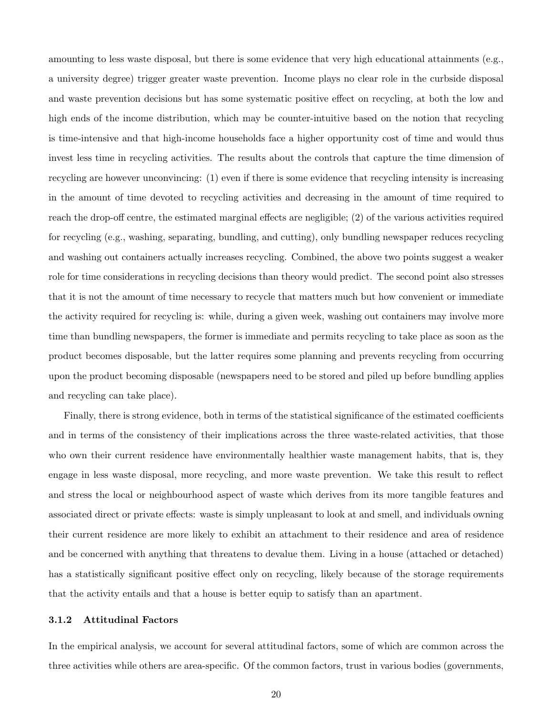amounting to less waste disposal, but there is some evidence that very high educational attainments (e.g., a university degree) trigger greater waste prevention. Income plays no clear role in the curbside disposal and waste prevention decisions but has some systematic positive effect on recycling, at both the low and high ends of the income distribution, which may be counter-intuitive based on the notion that recycling is time-intensive and that high-income households face a higher opportunity cost of time and would thus invest less time in recycling activities. The results about the controls that capture the time dimension of recycling are however unconvincing: (1) even if there is some evidence that recycling intensity is increasing in the amount of time devoted to recycling activities and decreasing in the amount of time required to reach the drop-off centre, the estimated marginal effects are negligible; (2) of the various activities required for recycling (e.g., washing, separating, bundling, and cutting), only bundling newspaper reduces recycling and washing out containers actually increases recycling. Combined, the above two points suggest a weaker role for time considerations in recycling decisions than theory would predict. The second point also stresses that it is not the amount of time necessary to recycle that matters much but how convenient or immediate the activity required for recycling is: while, during a given week, washing out containers may involve more time than bundling newspapers, the former is immediate and permits recycling to take place as soon as the product becomes disposable, but the latter requires some planning and prevents recycling from occurring upon the product becoming disposable (newspapers need to be stored and piled up before bundling applies and recycling can take place).

Finally, there is strong evidence, both in terms of the statistical significance of the estimated coefficients and in terms of the consistency of their implications across the three waste-related activities, that those who own their current residence have environmentally healthier waste management habits, that is, they engage in less waste disposal, more recycling, and more waste prevention. We take this result to reflect and stress the local or neighbourhood aspect of waste which derives from its more tangible features and associated direct or private effects: waste is simply unpleasant to look at and smell, and individuals owning their current residence are more likely to exhibit an attachment to their residence and area of residence and be concerned with anything that threatens to devalue them. Living in a house (attached or detached) has a statistically significant positive effect only on recycling, likely because of the storage requirements that the activity entails and that a house is better equip to satisfy than an apartment.

#### 3.1.2 Attitudinal Factors

In the empirical analysis, we account for several attitudinal factors, some of which are common across the three activities while others are area-specific. Of the common factors, trust in various bodies (governments,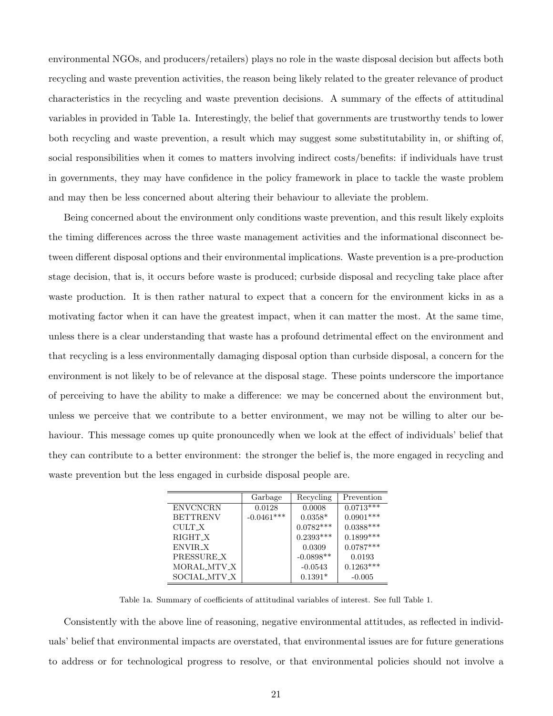environmental NGOs, and producers/retailers) plays no role in the waste disposal decision but affects both recycling and waste prevention activities, the reason being likely related to the greater relevance of product characteristics in the recycling and waste prevention decisions. A summary of the effects of attitudinal variables in provided in Table 1a. Interestingly, the belief that governments are trustworthy tends to lower both recycling and waste prevention, a result which may suggest some substitutability in, or shifting of, social responsibilities when it comes to matters involving indirect costs/benefits: if individuals have trust in governments, they may have confidence in the policy framework in place to tackle the waste problem and may then be less concerned about altering their behaviour to alleviate the problem.

Being concerned about the environment only conditions waste prevention, and this result likely exploits the timing differences across the three waste management activities and the informational disconnect between different disposal options and their environmental implications. Waste prevention is a pre-production stage decision, that is, it occurs before waste is produced; curbside disposal and recycling take place after waste production. It is then rather natural to expect that a concern for the environment kicks in as a motivating factor when it can have the greatest impact, when it can matter the most. At the same time, unless there is a clear understanding that waste has a profound detrimental effect on the environment and that recycling is a less environmentally damaging disposal option than curbside disposal, a concern for the environment is not likely to be of relevance at the disposal stage. These points underscore the importance of perceiving to have the ability to make a difference: we may be concerned about the environment but, unless we perceive that we contribute to a better environment, we may not be willing to alter our behaviour. This message comes up quite pronouncedly when we look at the effect of individuals' belief that they can contribute to a better environment: the stronger the belief is, the more engaged in recycling and waste prevention but the less engaged in curbside disposal people are.

|                 | Garbage      | Recycling   | Prevention  |
|-----------------|--------------|-------------|-------------|
| <b>ENVCNCRN</b> | 0.0128       | 0.0008      | $0.0713***$ |
| <b>BETTRENV</b> | $-0.0461***$ | $0.0358*$   | $0.0901***$ |
| CULT_X          |              | $0.0782***$ | $0.0388***$ |
| RIGHT X         |              | $0.2393***$ | $0.1899***$ |
| ENVIR_X         |              | 0.0309      | $0.0787***$ |
| PRESSURE X      |              | $-0.0898**$ | 0.0193      |
| MORAL_MTV_X     |              | $-0.0543$   | $0.1263***$ |
| SOCIAL MTV_X    |              | $0.1391*$   | $-0.005$    |

Table 1a. Summary of coefficients of attitudinal variables of interest. See full Table 1.

Consistently with the above line of reasoning, negative environmental attitudes, as reflected in individuals' belief that environmental impacts are overstated, that environmental issues are for future generations to address or for technological progress to resolve, or that environmental policies should not involve a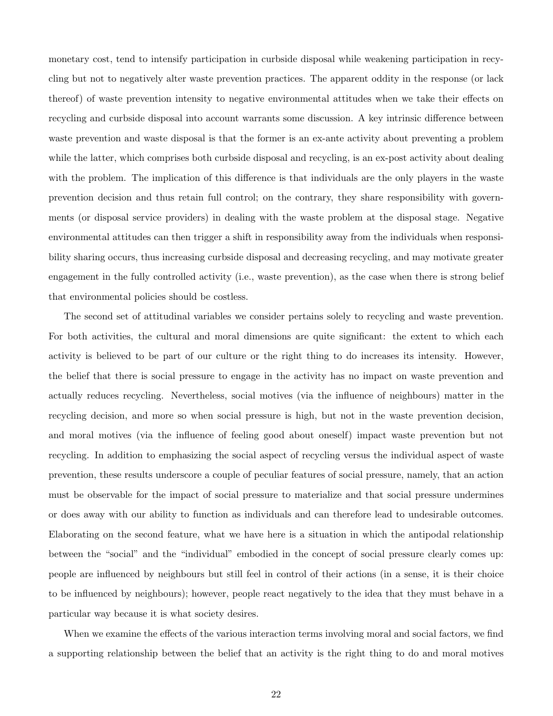monetary cost, tend to intensify participation in curbside disposal while weakening participation in recycling but not to negatively alter waste prevention practices. The apparent oddity in the response (or lack thereof) of waste prevention intensity to negative environmental attitudes when we take their effects on recycling and curbside disposal into account warrants some discussion. A key intrinsic difference between waste prevention and waste disposal is that the former is an ex-ante activity about preventing a problem while the latter, which comprises both curbside disposal and recycling, is an ex-post activity about dealing with the problem. The implication of this difference is that individuals are the only players in the waste prevention decision and thus retain full control; on the contrary, they share responsibility with governments (or disposal service providers) in dealing with the waste problem at the disposal stage. Negative environmental attitudes can then trigger a shift in responsibility away from the individuals when responsibility sharing occurs, thus increasing curbside disposal and decreasing recycling, and may motivate greater engagement in the fully controlled activity (i.e., waste prevention), as the case when there is strong belief that environmental policies should be costless.

The second set of attitudinal variables we consider pertains solely to recycling and waste prevention. For both activities, the cultural and moral dimensions are quite significant: the extent to which each activity is believed to be part of our culture or the right thing to do increases its intensity. However, the belief that there is social pressure to engage in the activity has no impact on waste prevention and actually reduces recycling. Nevertheless, social motives (via the influence of neighbours) matter in the recycling decision, and more so when social pressure is high, but not in the waste prevention decision, and moral motives (via the influence of feeling good about oneself) impact waste prevention but not recycling. In addition to emphasizing the social aspect of recycling versus the individual aspect of waste prevention, these results underscore a couple of peculiar features of social pressure, namely, that an action must be observable for the impact of social pressure to materialize and that social pressure undermines or does away with our ability to function as individuals and can therefore lead to undesirable outcomes. Elaborating on the second feature, what we have here is a situation in which the antipodal relationship between the "social" and the "individual" embodied in the concept of social pressure clearly comes up: people are influenced by neighbours but still feel in control of their actions (in a sense, it is their choice to be influenced by neighbours); however, people react negatively to the idea that they must behave in a particular way because it is what society desires.

When we examine the effects of the various interaction terms involving moral and social factors, we find a supporting relationship between the belief that an activity is the right thing to do and moral motives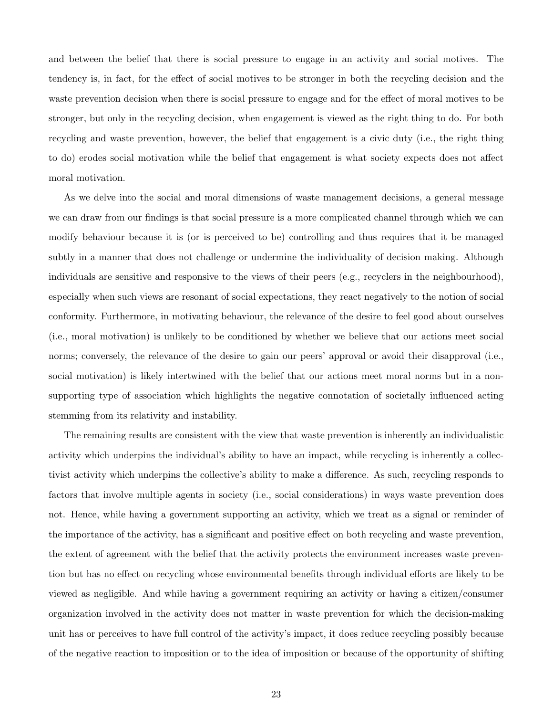and between the belief that there is social pressure to engage in an activity and social motives. The tendency is, in fact, for the effect of social motives to be stronger in both the recycling decision and the waste prevention decision when there is social pressure to engage and for the effect of moral motives to be stronger, but only in the recycling decision, when engagement is viewed as the right thing to do. For both recycling and waste prevention, however, the belief that engagement is a civic duty (i.e., the right thing to do) erodes social motivation while the belief that engagement is what society expects does not affect moral motivation.

As we delve into the social and moral dimensions of waste management decisions, a general message we can draw from our findings is that social pressure is a more complicated channel through which we can modify behaviour because it is (or is perceived to be) controlling and thus requires that it be managed subtly in a manner that does not challenge or undermine the individuality of decision making. Although individuals are sensitive and responsive to the views of their peers (e.g., recyclers in the neighbourhood), especially when such views are resonant of social expectations, they react negatively to the notion of social conformity. Furthermore, in motivating behaviour, the relevance of the desire to feel good about ourselves (i.e., moral motivation) is unlikely to be conditioned by whether we believe that our actions meet social norms; conversely, the relevance of the desire to gain our peers' approval or avoid their disapproval (i.e., social motivation) is likely intertwined with the belief that our actions meet moral norms but in a nonsupporting type of association which highlights the negative connotation of societally influenced acting stemming from its relativity and instability.

The remaining results are consistent with the view that waste prevention is inherently an individualistic activity which underpins the individual's ability to have an impact, while recycling is inherently a collectivist activity which underpins the collective's ability to make a difference. As such, recycling responds to factors that involve multiple agents in society (i.e., social considerations) in ways waste prevention does not. Hence, while having a government supporting an activity, which we treat as a signal or reminder of the importance of the activity, has a significant and positive effect on both recycling and waste prevention, the extent of agreement with the belief that the activity protects the environment increases waste prevention but has no effect on recycling whose environmental benefits through individual efforts are likely to be viewed as negligible. And while having a government requiring an activity or having a citizen/consumer organization involved in the activity does not matter in waste prevention for which the decision-making unit has or perceives to have full control of the activity's impact, it does reduce recycling possibly because of the negative reaction to imposition or to the idea of imposition or because of the opportunity of shifting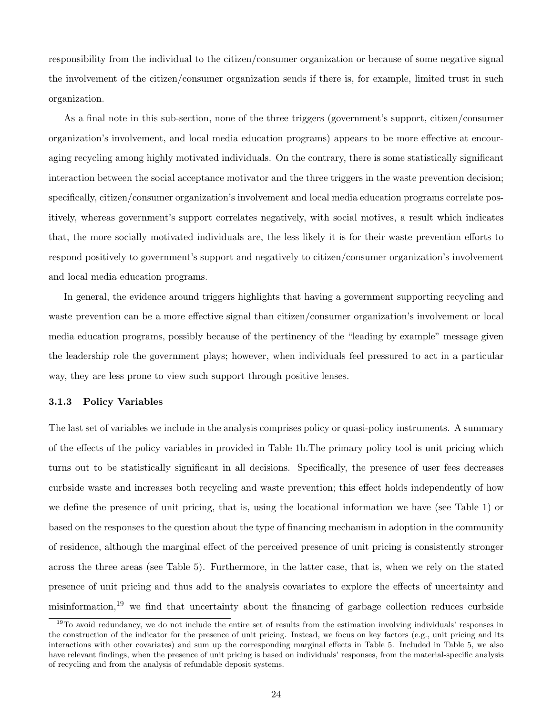responsibility from the individual to the citizen/consumer organization or because of some negative signal the involvement of the citizen/consumer organization sends if there is, for example, limited trust in such organization.

As a final note in this sub-section, none of the three triggers (government's support, citizen/consumer organization's involvement, and local media education programs) appears to be more effective at encouraging recycling among highly motivated individuals. On the contrary, there is some statistically significant interaction between the social acceptance motivator and the three triggers in the waste prevention decision; specifically, citizen/consumer organization's involvement and local media education programs correlate positively, whereas government's support correlates negatively, with social motives, a result which indicates that, the more socially motivated individuals are, the less likely it is for their waste prevention efforts to respond positively to government's support and negatively to citizen/consumer organization's involvement and local media education programs.

In general, the evidence around triggers highlights that having a government supporting recycling and waste prevention can be a more effective signal than citizen/consumer organization's involvement or local media education programs, possibly because of the pertinency of the "leading by example" message given the leadership role the government plays; however, when individuals feel pressured to act in a particular way, they are less prone to view such support through positive lenses.

# 3.1.3 Policy Variables

The last set of variables we include in the analysis comprises policy or quasi-policy instruments. A summary of the effects of the policy variables in provided in Table 1b.The primary policy tool is unit pricing which turns out to be statistically significant in all decisions. Specifically, the presence of user fees decreases curbside waste and increases both recycling and waste prevention; this effect holds independently of how we define the presence of unit pricing, that is, using the locational information we have (see Table 1) or based on the responses to the question about the type of financing mechanism in adoption in the community of residence, although the marginal effect of the perceived presence of unit pricing is consistently stronger across the three areas (see Table 5). Furthermore, in the latter case, that is, when we rely on the stated presence of unit pricing and thus add to the analysis covariates to explore the effects of uncertainty and misinformation,<sup>19</sup> we find that uncertainty about the financing of garbage collection reduces curbside

 $19$ To avoid redundancy, we do not include the entire set of results from the estimation involving individuals' responses in the construction of the indicator for the presence of unit pricing. Instead, we focus on key factors (e.g., unit pricing and its interactions with other covariates) and sum up the corresponding marginal effects in Table 5. Included in Table 5, we also have relevant findings, when the presence of unit pricing is based on individuals' responses, from the material-specific analysis of recycling and from the analysis of refundable deposit systems.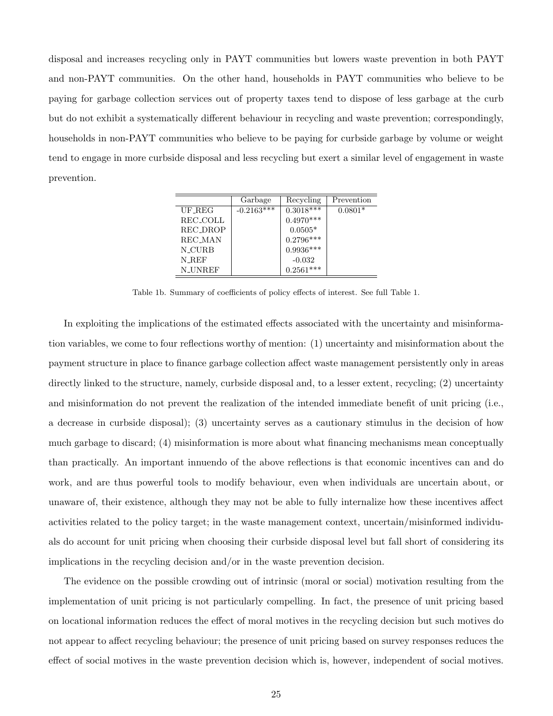disposal and increases recycling only in PAYT communities but lowers waste prevention in both PAYT and non-PAYT communities. On the other hand, households in PAYT communities who believe to be paying for garbage collection services out of property taxes tend to dispose of less garbage at the curb but do not exhibit a systematically different behaviour in recycling and waste prevention; correspondingly, households in non-PAYT communities who believe to be paying for curbside garbage by volume or weight tend to engage in more curbside disposal and less recycling but exert a similar level of engagement in waste prevention.

|                | Garbage      | Recycling       | Prevention |
|----------------|--------------|-----------------|------------|
| UF_REG         | $-0.2163***$ | $0.3018***$     | $0.0801*$  |
| REC_COLL       |              | $0.4970***$     |            |
| REC_DROP       |              | $0.0505^{\ast}$ |            |
| REC MAN        |              | $0.2796***$     |            |
| N_CURB         |              | $0.9936***$     |            |
| N_REF          |              | $-0.032$        |            |
| <b>N_UNREF</b> |              | $0.2561***$     |            |

Table 1b. Summary of coefficients of policy effects of interest. See full Table 1.

In exploiting the implications of the estimated effects associated with the uncertainty and misinformation variables, we come to four reflections worthy of mention: (1) uncertainty and misinformation about the payment structure in place to finance garbage collection affect waste management persistently only in areas directly linked to the structure, namely, curbside disposal and, to a lesser extent, recycling; (2) uncertainty and misinformation do not prevent the realization of the intended immediate benefit of unit pricing (i.e., a decrease in curbside disposal); (3) uncertainty serves as a cautionary stimulus in the decision of how much garbage to discard; (4) misinformation is more about what financing mechanisms mean conceptually than practically. An important innuendo of the above reflections is that economic incentives can and do work, and are thus powerful tools to modify behaviour, even when individuals are uncertain about, or unaware of, their existence, although they may not be able to fully internalize how these incentives affect activities related to the policy target; in the waste management context, uncertain/misinformed individuals do account for unit pricing when choosing their curbside disposal level but fall short of considering its implications in the recycling decision and/or in the waste prevention decision.

The evidence on the possible crowding out of intrinsic (moral or social) motivation resulting from the implementation of unit pricing is not particularly compelling. In fact, the presence of unit pricing based on locational information reduces the effect of moral motives in the recycling decision but such motives do not appear to affect recycling behaviour; the presence of unit pricing based on survey responses reduces the effect of social motives in the waste prevention decision which is, however, independent of social motives.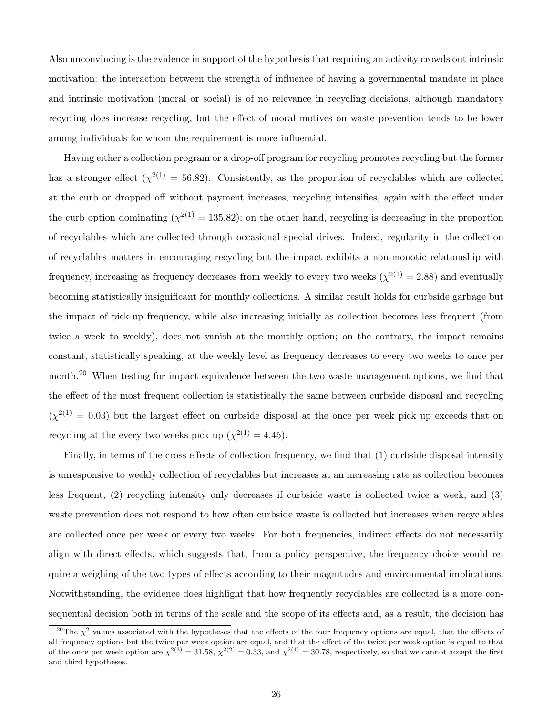Also unconvincing is the evidence in support of the hypothesis that requiring an activity crowds out intrinsic motivation: the interaction between the strength of influence of having a governmental mandate in place and intrinsic motivation (moral or social) is of no relevance in recycling decisions, although mandatory recycling does increase recycling, but the effect of moral motives on waste prevention tends to be lower among individuals for whom the requirement is more influential.

Having either a collection program or a drop-off program for recycling promotes recycling but the former has a stronger effect  $(\chi^{2(1)} = 56.82)$ . Consistently, as the proportion of recyclables which are collected at the curb or dropped off without payment increases, recycling intensifies, again with the effect under the curb option dominating  $(\chi^{2(1)} = 135.82)$ ; on the other hand, recycling is decreasing in the proportion of recyclables which are collected through occasional special drives. Indeed, regularity in the collection of recyclables matters in encouraging recycling but the impact exhibits a non-monotic relationship with frequency, increasing as frequency decreases from weekly to every two weeks  $(\chi^{2(1)} = 2.88)$  and eventually becoming statistically insignificant for monthly collections. A similar result holds for curbside garbage but the impact of pick-up frequency, while also increasing initially as collection becomes less frequent (from twice a week to weekly), does not vanish at the monthly option; on the contrary, the impact remains constant, statistically speaking, at the weekly level as frequency decreases to every two weeks to once per month.<sup>20</sup> When testing for impact equivalence between the two waste management options, we find that the effect of the most frequent collection is statistically the same between curbside disposal and recycling  $(\chi^{2(1)} = 0.03)$  but the largest effect on curbside disposal at the once per week pick up exceeds that on recycling at the every two weeks pick up  $(\chi^{2(1)} = 4.45)$ .

Finally, in terms of the cross effects of collection frequency, we find that (1) curbside disposal intensity is unresponsive to weekly collection of recyclables but increases at an increasing rate as collection becomes less frequent, (2) recycling intensity only decreases if curbside waste is collected twice a week, and (3) waste prevention does not respond to how often curbside waste is collected but increases when recyclables are collected once per week or every two weeks. For both frequencies, indirect effects do not necessarily align with direct effects, which suggests that, from a policy perspective, the frequency choice would require a weighing of the two types of effects according to their magnitudes and environmental implications. Notwithstanding, the evidence does highlight that how frequently recyclables are collected is a more consequential decision both in terms of the scale and the scope of its effects and, as a result, the decision has

<sup>&</sup>lt;sup>20</sup>The  $\chi^2$  values associated with the hypotheses that the effects of the four frequency options are equal, that the effects of all frequency options but the twice per week option are equal, and that the effect of the twice per week option is equal to that of the once per week option are  $\chi^{2(3)} = 31.58$ ,  $\chi^{2(2)} = 0.33$ , and  $\chi^{2(1)} = 30.78$ , respectively, so that we cannot accept the first and third hypotheses.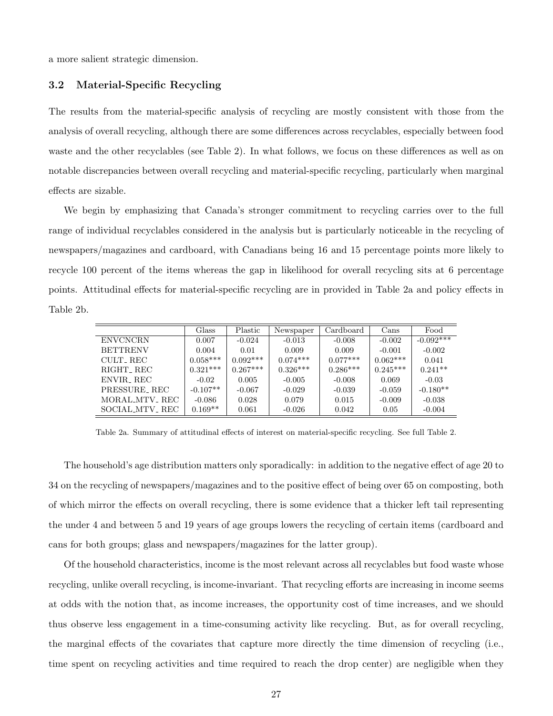a more salient strategic dimension.

## 3.2 Material-Specific Recycling

The results from the material-specific analysis of recycling are mostly consistent with those from the analysis of overall recycling, although there are some differences across recyclables, especially between food waste and the other recyclables (see Table 2). In what follows, we focus on these differences as well as on notable discrepancies between overall recycling and material-specific recycling, particularly when marginal effects are sizable.

We begin by emphasizing that Canada's stronger commitment to recycling carries over to the full range of individual recyclables considered in the analysis but is particularly noticeable in the recycling of newspapers/magazines and cardboard, with Canadians being 16 and 15 percentage points more likely to recycle 100 percent of the items whereas the gap in likelihood for overall recycling sits at 6 percentage points. Attitudinal effects for material-specific recycling are in provided in Table 2a and policy effects in Table 2b.

|                       | Glass      | Plastic    | Newspaper  | Cardboard  | Cans       | Food        |
|-----------------------|------------|------------|------------|------------|------------|-------------|
| <b>ENVCNCRN</b>       | 0.007      | $-0.024$   | $-0.013$   | $-0.008$   | $-0.002$   | $-0.092***$ |
| <b>BETTRENV</b>       | 0.004      | 0.01       | 0.009      | 0.009      | $-0.001$   | $-0.002$    |
| CULT REC              | $0.058***$ | $0.092***$ | $0.074***$ | $0.077***$ | $0.062***$ | 0.041       |
| RIGHT <sub>-REC</sub> | $0.321***$ | $0.267***$ | $0.326***$ | $0.286***$ | $0.245***$ | $0.241**$   |
| ENVIR <sub>-REC</sub> | $-0.02$    | 0.005      | $-0.005$   | $-0.008$   | 0.069      | $-0.03$     |
| PRESSURE REC          | $-0.107**$ | $-0.067$   | $-0.029$   | $-0.039$   | $-0.059$   | $-0.180**$  |
| MORAL_MTV_ REC        | $-0.086$   | 0.028      | 0.079      | 0.015      | $-0.009$   | $-0.038$    |
| SOCIAL MTV_REC        | $0.169**$  | 0.061      | $-0.026$   | 0.042      | 0.05       | $-0.004$    |

Table 2a. Summary of attitudinal effects of interest on material-specific recycling. See full Table 2.

The household's age distribution matters only sporadically: in addition to the negative effect of age 20 to 34 on the recycling of newspapers/magazines and to the positive effect of being over 65 on composting, both of which mirror the effects on overall recycling, there is some evidence that a thicker left tail representing the under 4 and between 5 and 19 years of age groups lowers the recycling of certain items (cardboard and cans for both groups; glass and newspapers/magazines for the latter group).

Of the household characteristics, income is the most relevant across all recyclables but food waste whose recycling, unlike overall recycling, is income-invariant. That recycling efforts are increasing in income seems at odds with the notion that, as income increases, the opportunity cost of time increases, and we should thus observe less engagement in a time-consuming activity like recycling. But, as for overall recycling, the marginal effects of the covariates that capture more directly the time dimension of recycling (i.e., time spent on recycling activities and time required to reach the drop center) are negligible when they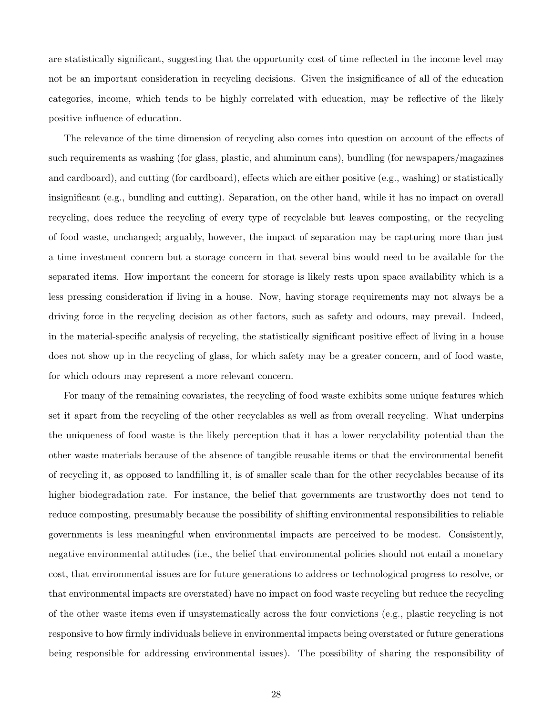are statistically significant, suggesting that the opportunity cost of time reflected in the income level may not be an important consideration in recycling decisions. Given the insignificance of all of the education categories, income, which tends to be highly correlated with education, may be reflective of the likely positive influence of education.

The relevance of the time dimension of recycling also comes into question on account of the effects of such requirements as washing (for glass, plastic, and aluminum cans), bundling (for newspapers/magazines and cardboard), and cutting (for cardboard), effects which are either positive (e.g., washing) or statistically insignificant (e.g., bundling and cutting). Separation, on the other hand, while it has no impact on overall recycling, does reduce the recycling of every type of recyclable but leaves composting, or the recycling of food waste, unchanged; arguably, however, the impact of separation may be capturing more than just a time investment concern but a storage concern in that several bins would need to be available for the separated items. How important the concern for storage is likely rests upon space availability which is a less pressing consideration if living in a house. Now, having storage requirements may not always be a driving force in the recycling decision as other factors, such as safety and odours, may prevail. Indeed, in the material-specific analysis of recycling, the statistically significant positive effect of living in a house does not show up in the recycling of glass, for which safety may be a greater concern, and of food waste, for which odours may represent a more relevant concern.

For many of the remaining covariates, the recycling of food waste exhibits some unique features which set it apart from the recycling of the other recyclables as well as from overall recycling. What underpins the uniqueness of food waste is the likely perception that it has a lower recyclability potential than the other waste materials because of the absence of tangible reusable items or that the environmental benefit of recycling it, as opposed to landfilling it, is of smaller scale than for the other recyclables because of its higher biodegradation rate. For instance, the belief that governments are trustworthy does not tend to reduce composting, presumably because the possibility of shifting environmental responsibilities to reliable governments is less meaningful when environmental impacts are perceived to be modest. Consistently, negative environmental attitudes (i.e., the belief that environmental policies should not entail a monetary cost, that environmental issues are for future generations to address or technological progress to resolve, or that environmental impacts are overstated) have no impact on food waste recycling but reduce the recycling of the other waste items even if unsystematically across the four convictions (e.g., plastic recycling is not responsive to how firmly individuals believe in environmental impacts being overstated or future generations being responsible for addressing environmental issues). The possibility of sharing the responsibility of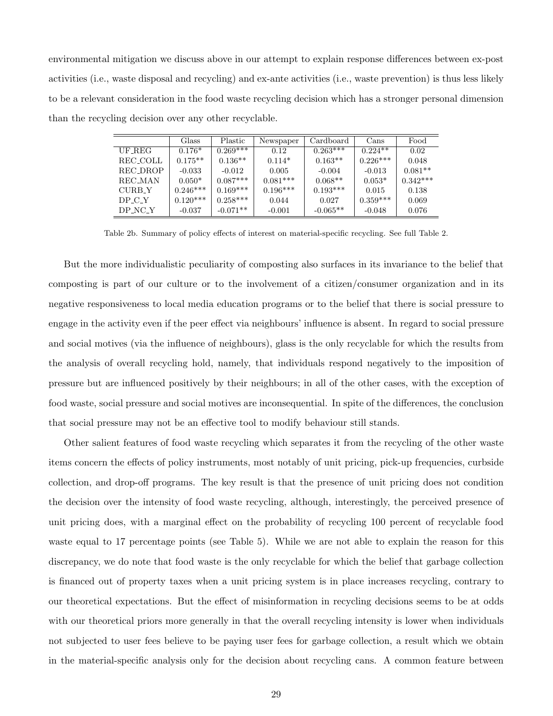environmental mitigation we discuss above in our attempt to explain response differences between ex-post activities (i.e., waste disposal and recycling) and ex-ante activities (i.e., waste prevention) is thus less likely to be a relevant consideration in the food waste recycling decision which has a stronger personal dimension than the recycling decision over any other recyclable.

|           | Glass      | <b>Plastic</b> | Newspaper  | Cardboard  | Cans       | Food       |
|-----------|------------|----------------|------------|------------|------------|------------|
| UF REG    | $0.176*$   | $0.269***$     | 0.12       | $0.263***$ | $0.224**$  | 0.02       |
| REC_COLL  | $0.175**$  | $0.136**$      | $0.114*$   | $0.163**$  | $0.226***$ | 0.048      |
| REC_DROP  | $-0.033$   | $-0.012$       | 0.005      | $-0.004$   | $-0.013$   | $0.081**$  |
| REC_MAN   | $0.050*$   | $0.087***$     | $0.081***$ | $0.068**$  | $0.053*$   | $0.342***$ |
| CURB Y    | $0.246***$ | $0.169***$     | $0.196***$ | $0.193***$ | 0.015      | 0.138      |
| DP C Y    | $0.120***$ | $0.258***$     | 0.044      | 0.027      | $0.359***$ | 0.069      |
| $DP_NC_Y$ | $-0.037$   | $-0.071**$     | $-0.001$   | $-0.065**$ | $-0.048$   | 0.076      |

Table 2b. Summary of policy effects of interest on material-specific recycling. See full Table 2.

But the more individualistic peculiarity of composting also surfaces in its invariance to the belief that composting is part of our culture or to the involvement of a citizen/consumer organization and in its negative responsiveness to local media education programs or to the belief that there is social pressure to engage in the activity even if the peer effect via neighbours' influence is absent. In regard to social pressure and social motives (via the influence of neighbours), glass is the only recyclable for which the results from the analysis of overall recycling hold, namely, that individuals respond negatively to the imposition of pressure but are influenced positively by their neighbours; in all of the other cases, with the exception of food waste, social pressure and social motives are inconsequential. In spite of the differences, the conclusion that social pressure may not be an effective tool to modify behaviour still stands.

Other salient features of food waste recycling which separates it from the recycling of the other waste items concern the effects of policy instruments, most notably of unit pricing, pick-up frequencies, curbside collection, and drop-off programs. The key result is that the presence of unit pricing does not condition the decision over the intensity of food waste recycling, although, interestingly, the perceived presence of unit pricing does, with a marginal effect on the probability of recycling 100 percent of recyclable food waste equal to 17 percentage points (see Table 5). While we are not able to explain the reason for this discrepancy, we do note that food waste is the only recyclable for which the belief that garbage collection is financed out of property taxes when a unit pricing system is in place increases recycling, contrary to our theoretical expectations. But the effect of misinformation in recycling decisions seems to be at odds with our theoretical priors more generally in that the overall recycling intensity is lower when individuals not subjected to user fees believe to be paying user fees for garbage collection, a result which we obtain in the material-specific analysis only for the decision about recycling cans. A common feature between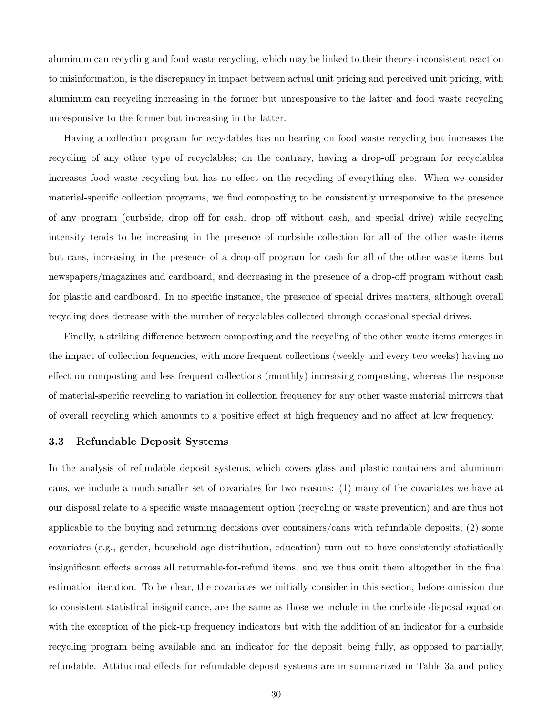aluminum can recycling and food waste recycling, which may be linked to their theory-inconsistent reaction to misinformation, is the discrepancy in impact between actual unit pricing and perceived unit pricing, with aluminum can recycling increasing in the former but unresponsive to the latter and food waste recycling unresponsive to the former but increasing in the latter.

Having a collection program for recyclables has no bearing on food waste recycling but increases the recycling of any other type of recyclables; on the contrary, having a drop-off program for recyclables increases food waste recycling but has no effect on the recycling of everything else. When we consider material-specific collection programs, we find composting to be consistently unresponsive to the presence of any program (curbside, drop off for cash, drop off without cash, and special drive) while recycling intensity tends to be increasing in the presence of curbside collection for all of the other waste items but cans, increasing in the presence of a drop-off program for cash for all of the other waste items but newspapers/magazines and cardboard, and decreasing in the presence of a drop-off program without cash for plastic and cardboard. In no specific instance, the presence of special drives matters, although overall recycling does decrease with the number of recyclables collected through occasional special drives.

Finally, a striking difference between composting and the recycling of the other waste items emerges in the impact of collection fequencies, with more frequent collections (weekly and every two weeks) having no effect on composting and less frequent collections (monthly) increasing composting, whereas the response of material-specific recycling to variation in collection frequency for any other waste material mirrows that of overall recycling which amounts to a positive effect at high frequency and no affect at low frequency.

# 3.3 Refundable Deposit Systems

In the analysis of refundable deposit systems, which covers glass and plastic containers and aluminum cans, we include a much smaller set of covariates for two reasons: (1) many of the covariates we have at our disposal relate to a specific waste management option (recycling or waste prevention) and are thus not applicable to the buying and returning decisions over containers/cans with refundable deposits; (2) some covariates (e.g., gender, household age distribution, education) turn out to have consistently statistically insignificant effects across all returnable-for-refund items, and we thus omit them altogether in the final estimation iteration. To be clear, the covariates we initially consider in this section, before omission due to consistent statistical insignificance, are the same as those we include in the curbside disposal equation with the exception of the pick-up frequency indicators but with the addition of an indicator for a curbside recycling program being available and an indicator for the deposit being fully, as opposed to partially, refundable. Attitudinal effects for refundable deposit systems are in summarized in Table 3a and policy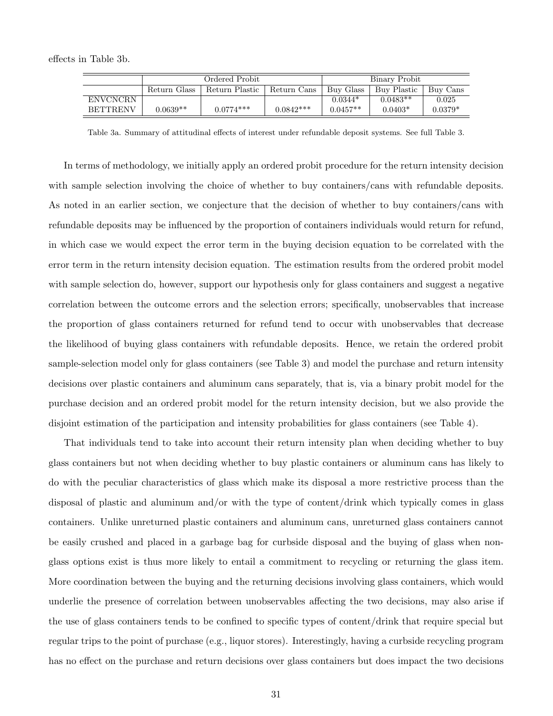effects in Table 3b.

|                 |              | Ordered Probit |             |            | Binary Probit |           |  |
|-----------------|--------------|----------------|-------------|------------|---------------|-----------|--|
|                 | Return Glass | Return Plastic | Return Cans | Buy Glass  | Buy Plastic   | Buy Cans  |  |
| <b>ENVCNCRN</b> |              |                |             | $0.0344*$  | $0.0483**$    | 0.025     |  |
| <b>BETTRENV</b> | $0.0639**$   | $0.0774***$    | $0.0842***$ | $0.0457**$ | $0.0403*$     | $0.0379*$ |  |

Table 3a. Summary of attitudinal effects of interest under refundable deposit systems. See full Table 3.

In terms of methodology, we initially apply an ordered probit procedure for the return intensity decision with sample selection involving the choice of whether to buy containers/cans with refundable deposits. As noted in an earlier section, we conjecture that the decision of whether to buy containers/cans with refundable deposits may be influenced by the proportion of containers individuals would return for refund, in which case we would expect the error term in the buying decision equation to be correlated with the error term in the return intensity decision equation. The estimation results from the ordered probit model with sample selection do, however, support our hypothesis only for glass containers and suggest a negative correlation between the outcome errors and the selection errors; specifically, unobservables that increase the proportion of glass containers returned for refund tend to occur with unobservables that decrease the likelihood of buying glass containers with refundable deposits. Hence, we retain the ordered probit sample-selection model only for glass containers (see Table 3) and model the purchase and return intensity decisions over plastic containers and aluminum cans separately, that is, via a binary probit model for the purchase decision and an ordered probit model for the return intensity decision, but we also provide the disjoint estimation of the participation and intensity probabilities for glass containers (see Table 4).

That individuals tend to take into account their return intensity plan when deciding whether to buy glass containers but not when deciding whether to buy plastic containers or aluminum cans has likely to do with the peculiar characteristics of glass which make its disposal a more restrictive process than the disposal of plastic and aluminum and/or with the type of content/drink which typically comes in glass containers. Unlike unreturned plastic containers and aluminum cans, unreturned glass containers cannot be easily crushed and placed in a garbage bag for curbside disposal and the buying of glass when nonglass options exist is thus more likely to entail a commitment to recycling or returning the glass item. More coordination between the buying and the returning decisions involving glass containers, which would underlie the presence of correlation between unobservables affecting the two decisions, may also arise if the use of glass containers tends to be confined to specific types of content/drink that require special but regular trips to the point of purchase (e.g., liquor stores). Interestingly, having a curbside recycling program has no effect on the purchase and return decisions over glass containers but does impact the two decisions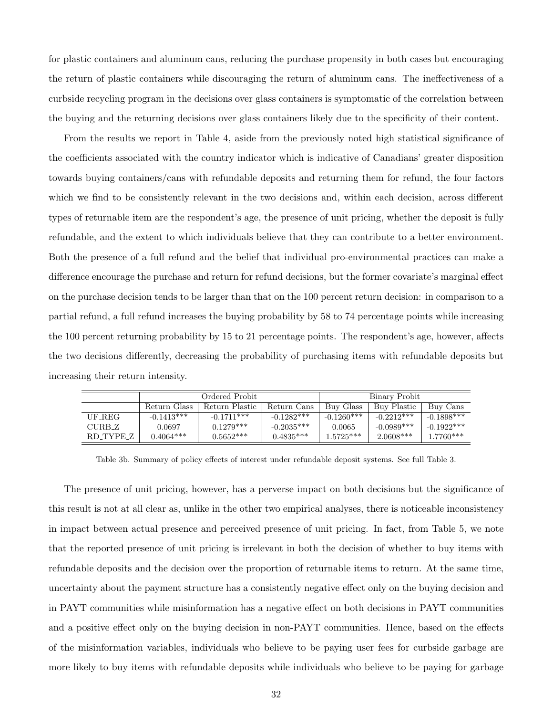for plastic containers and aluminum cans, reducing the purchase propensity in both cases but encouraging the return of plastic containers while discouraging the return of aluminum cans. The ineffectiveness of a curbside recycling program in the decisions over glass containers is symptomatic of the correlation between the buying and the returning decisions over glass containers likely due to the specificity of their content.

From the results we report in Table 4, aside from the previously noted high statistical significance of the coefficients associated with the country indicator which is indicative of Canadians' greater disposition towards buying containers/cans with refundable deposits and returning them for refund, the four factors which we find to be consistently relevant in the two decisions and, within each decision, across different types of returnable item are the respondent's age, the presence of unit pricing, whether the deposit is fully refundable, and the extent to which individuals believe that they can contribute to a better environment. Both the presence of a full refund and the belief that individual pro-environmental practices can make a difference encourage the purchase and return for refund decisions, but the former covariate's marginal effect on the purchase decision tends to be larger than that on the 100 percent return decision: in comparison to a partial refund, a full refund increases the buying probability by 58 to 74 percentage points while increasing the 100 percent returning probability by 15 to 21 percentage points. The respondent's age, however, affects the two decisions differently, decreasing the probability of purchasing items with refundable deposits but increasing their return intensity.

|           | Ordered Probit |                |              | Binary Probit |              |              |
|-----------|----------------|----------------|--------------|---------------|--------------|--------------|
|           | Return Glass   | Return Plastic | Return Cans  | Buy Glass     | Buy Plastic  | Buy Cans     |
| UF REG    | $-0.1413***$   | $-0.1711***$   | $-0.1282***$ | $-0.1260***$  | $-0.2212***$ | $-0.1898***$ |
| CURB_Z    | 0.0697         | $0.1279***$    | $-0.2035***$ | 0.0065        | $-0.0989***$ | $-0.1922***$ |
| RD_TYPE_Z | $0.4064***$    | $0.5652***$    | $0.4835***$  | $1.5725***$   | $2.0608***$  | $1.7760***$  |

Table 3b. Summary of policy effects of interest under refundable deposit systems. See full Table 3.

The presence of unit pricing, however, has a perverse impact on both decisions but the significance of this result is not at all clear as, unlike in the other two empirical analyses, there is noticeable inconsistency in impact between actual presence and perceived presence of unit pricing. In fact, from Table 5, we note that the reported presence of unit pricing is irrelevant in both the decision of whether to buy items with refundable deposits and the decision over the proportion of returnable items to return. At the same time, uncertainty about the payment structure has a consistently negative effect only on the buying decision and in PAYT communities while misinformation has a negative effect on both decisions in PAYT communities and a positive effect only on the buying decision in non-PAYT communities. Hence, based on the effects of the misinformation variables, individuals who believe to be paying user fees for curbside garbage are more likely to buy items with refundable deposits while individuals who believe to be paying for garbage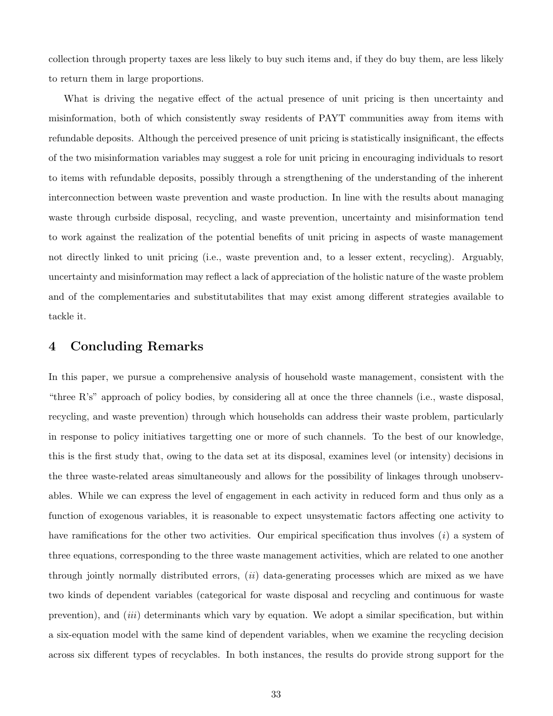collection through property taxes are less likely to buy such items and, if they do buy them, are less likely to return them in large proportions.

What is driving the negative effect of the actual presence of unit pricing is then uncertainty and misinformation, both of which consistently sway residents of PAYT communities away from items with refundable deposits. Although the perceived presence of unit pricing is statistically insignificant, the effects of the two misinformation variables may suggest a role for unit pricing in encouraging individuals to resort to items with refundable deposits, possibly through a strengthening of the understanding of the inherent interconnection between waste prevention and waste production. In line with the results about managing waste through curbside disposal, recycling, and waste prevention, uncertainty and misinformation tend to work against the realization of the potential benefits of unit pricing in aspects of waste management not directly linked to unit pricing (i.e., waste prevention and, to a lesser extent, recycling). Arguably, uncertainty and misinformation may reflect a lack of appreciation of the holistic nature of the waste problem and of the complementaries and substitutabilites that may exist among different strategies available to tackle it.

# 4 Concluding Remarks

In this paper, we pursue a comprehensive analysis of household waste management, consistent with the "three R's" approach of policy bodies, by considering all at once the three channels (i.e., waste disposal, recycling, and waste prevention) through which households can address their waste problem, particularly in response to policy initiatives targetting one or more of such channels. To the best of our knowledge, this is the first study that, owing to the data set at its disposal, examines level (or intensity) decisions in the three waste-related areas simultaneously and allows for the possibility of linkages through unobservables. While we can express the level of engagement in each activity in reduced form and thus only as a function of exogenous variables, it is reasonable to expect unsystematic factors affecting one activity to have ramifications for the other two activities. Our empirical specification thus involves  $(i)$  a system of three equations, corresponding to the three waste management activities, which are related to one another through jointly normally distributed errors, (ii) data-generating processes which are mixed as we have two kinds of dependent variables (categorical for waste disposal and recycling and continuous for waste prevention), and (iii) determinants which vary by equation. We adopt a similar specification, but within a six-equation model with the same kind of dependent variables, when we examine the recycling decision across six different types of recyclables. In both instances, the results do provide strong support for the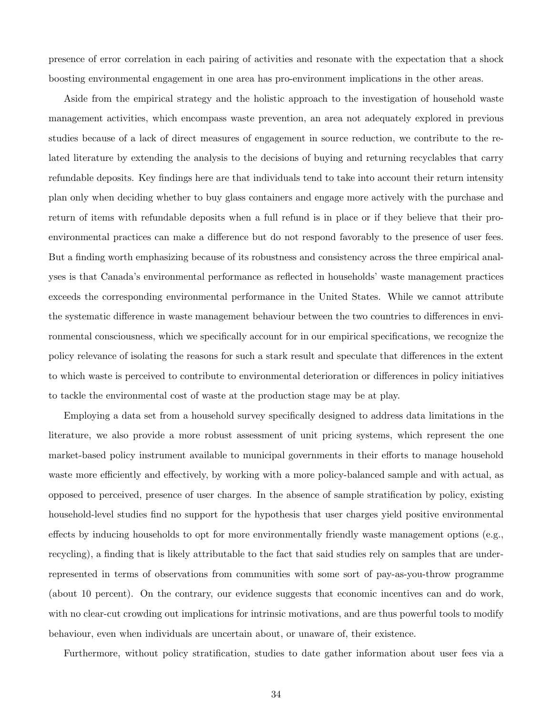presence of error correlation in each pairing of activities and resonate with the expectation that a shock boosting environmental engagement in one area has pro-environment implications in the other areas.

Aside from the empirical strategy and the holistic approach to the investigation of household waste management activities, which encompass waste prevention, an area not adequately explored in previous studies because of a lack of direct measures of engagement in source reduction, we contribute to the related literature by extending the analysis to the decisions of buying and returning recyclables that carry refundable deposits. Key findings here are that individuals tend to take into account their return intensity plan only when deciding whether to buy glass containers and engage more actively with the purchase and return of items with refundable deposits when a full refund is in place or if they believe that their proenvironmental practices can make a difference but do not respond favorably to the presence of user fees. But a finding worth emphasizing because of its robustness and consistency across the three empirical analyses is that Canada's environmental performance as reflected in households' waste management practices exceeds the corresponding environmental performance in the United States. While we cannot attribute the systematic difference in waste management behaviour between the two countries to differences in environmental consciousness, which we specifically account for in our empirical specifications, we recognize the policy relevance of isolating the reasons for such a stark result and speculate that differences in the extent to which waste is perceived to contribute to environmental deterioration or differences in policy initiatives to tackle the environmental cost of waste at the production stage may be at play.

Employing a data set from a household survey specifically designed to address data limitations in the literature, we also provide a more robust assessment of unit pricing systems, which represent the one market-based policy instrument available to municipal governments in their efforts to manage household waste more efficiently and effectively, by working with a more policy-balanced sample and with actual, as opposed to perceived, presence of user charges. In the absence of sample stratification by policy, existing household-level studies find no support for the hypothesis that user charges yield positive environmental effects by inducing households to opt for more environmentally friendly waste management options (e.g., recycling), a finding that is likely attributable to the fact that said studies rely on samples that are underrepresented in terms of observations from communities with some sort of pay-as-you-throw programme (about 10 percent). On the contrary, our evidence suggests that economic incentives can and do work, with no clear-cut crowding out implications for intrinsic motivations, and are thus powerful tools to modify behaviour, even when individuals are uncertain about, or unaware of, their existence.

Furthermore, without policy stratification, studies to date gather information about user fees via a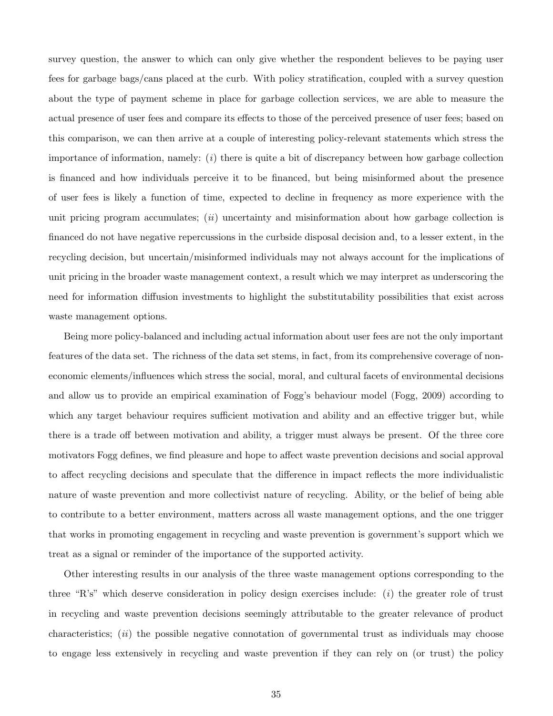survey question, the answer to which can only give whether the respondent believes to be paying user fees for garbage bags/cans placed at the curb. With policy stratification, coupled with a survey question about the type of payment scheme in place for garbage collection services, we are able to measure the actual presence of user fees and compare its effects to those of the perceived presence of user fees; based on this comparison, we can then arrive at a couple of interesting policy-relevant statements which stress the importance of information, namely:  $(i)$  there is quite a bit of discrepancy between how garbage collection is financed and how individuals perceive it to be financed, but being misinformed about the presence of user fees is likely a function of time, expected to decline in frequency as more experience with the unit pricing program accumulates;  $(ii)$  uncertainty and misinformation about how garbage collection is financed do not have negative repercussions in the curbside disposal decision and, to a lesser extent, in the recycling decision, but uncertain/misinformed individuals may not always account for the implications of unit pricing in the broader waste management context, a result which we may interpret as underscoring the need for information diffusion investments to highlight the substitutability possibilities that exist across waste management options.

Being more policy-balanced and including actual information about user fees are not the only important features of the data set. The richness of the data set stems, in fact, from its comprehensive coverage of noneconomic elements/influences which stress the social, moral, and cultural facets of environmental decisions and allow us to provide an empirical examination of Fogg's behaviour model (Fogg, 2009) according to which any target behaviour requires sufficient motivation and ability and an effective trigger but, while there is a trade off between motivation and ability, a trigger must always be present. Of the three core motivators Fogg defines, we find pleasure and hope to affect waste prevention decisions and social approval to affect recycling decisions and speculate that the difference in impact reflects the more individualistic nature of waste prevention and more collectivist nature of recycling. Ability, or the belief of being able to contribute to a better environment, matters across all waste management options, and the one trigger that works in promoting engagement in recycling and waste prevention is government's support which we treat as a signal or reminder of the importance of the supported activity.

Other interesting results in our analysis of the three waste management options corresponding to the three "R's" which deserve consideration in policy design exercises include:  $(i)$  the greater role of trust in recycling and waste prevention decisions seemingly attributable to the greater relevance of product characteristics;  $(ii)$  the possible negative connotation of governmental trust as individuals may choose to engage less extensively in recycling and waste prevention if they can rely on (or trust) the policy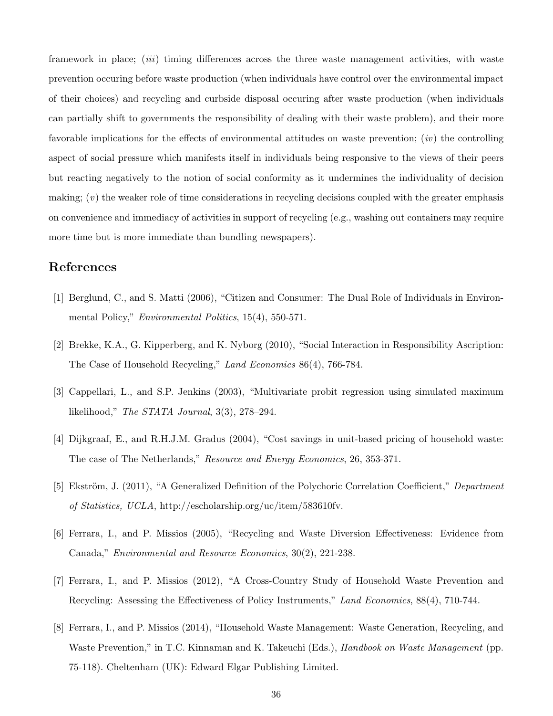framework in place; *(iii)* timing differences across the three waste management activities, with waste prevention occuring before waste production (when individuals have control over the environmental impact of their choices) and recycling and curbside disposal occuring after waste production (when individuals can partially shift to governments the responsibility of dealing with their waste problem), and their more favorable implications for the effects of environmental attitudes on waste prevention;  $(iv)$  the controlling aspect of social pressure which manifests itself in individuals being responsive to the views of their peers but reacting negatively to the notion of social conformity as it undermines the individuality of decision making;  $(v)$  the weaker role of time considerations in recycling decisions coupled with the greater emphasis on convenience and immediacy of activities in support of recycling (e.g., washing out containers may require more time but is more immediate than bundling newspapers).

# References

- [1] Berglund, C., and S. Matti (2006), "Citizen and Consumer: The Dual Role of Individuals in Environmental Policy," Environmental Politics, 15(4), 550-571.
- [2] Brekke, K.A., G. Kipperberg, and K. Nyborg (2010), "Social Interaction in Responsibility Ascription: The Case of Household Recycling," Land Economics 86(4), 766-784.
- [3] Cappellari, L., and S.P. Jenkins (2003), "Multivariate probit regression using simulated maximum likelihood," The STATA Journal, 3(3), 278–294.
- [4] Dijkgraaf, E., and R.H.J.M. Gradus (2004), "Cost savings in unit-based pricing of household waste: The case of The Netherlands," Resource and Energy Economics, 26, 353-371.
- [5] Ekström, J. (2011), "A Generalized Definition of the Polychoric Correlation Coefficient," Department of Statistics, UCLA, http://escholarship.org/uc/item/583610fv.
- [6] Ferrara, I., and P. Missios (2005), "Recycling and Waste Diversion Effectiveness: Evidence from Canada," Environmental and Resource Economics, 30(2), 221-238.
- [7] Ferrara, I., and P. Missios (2012), "A Cross-Country Study of Household Waste Prevention and Recycling: Assessing the Effectiveness of Policy Instruments," Land Economics, 88(4), 710-744.
- [8] Ferrara, I., and P. Missios (2014), "Household Waste Management: Waste Generation, Recycling, and Waste Prevention," in T.C. Kinnaman and K. Takeuchi (Eds.), *Handbook on Waste Management* (pp. 75-118). Cheltenham (UK): Edward Elgar Publishing Limited.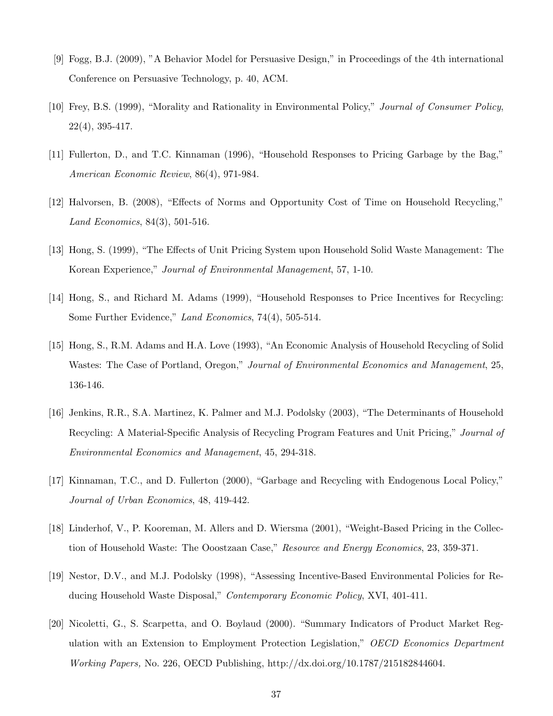- [9] Fogg, B.J. (2009), "A Behavior Model for Persuasive Design," in Proceedings of the 4th international Conference on Persuasive Technology, p. 40, ACM.
- [10] Frey, B.S. (1999), "Morality and Rationality in Environmental Policy," Journal of Consumer Policy, 22(4), 395-417.
- [11] Fullerton, D., and T.C. Kinnaman (1996), "Household Responses to Pricing Garbage by the Bag," American Economic Review, 86(4), 971-984.
- [12] Halvorsen, B. (2008), "Effects of Norms and Opportunity Cost of Time on Household Recycling," Land Economics, 84(3), 501-516.
- [13] Hong, S. (1999), "The Effects of Unit Pricing System upon Household Solid Waste Management: The Korean Experience," Journal of Environmental Management, 57, 1-10.
- [14] Hong, S., and Richard M. Adams (1999), "Household Responses to Price Incentives for Recycling: Some Further Evidence," Land Economics, 74(4), 505-514.
- [15] Hong, S., R.M. Adams and H.A. Love (1993), "An Economic Analysis of Household Recycling of Solid Wastes: The Case of Portland, Oregon," Journal of Environmental Economics and Management, 25, 136-146.
- [16] Jenkins, R.R., S.A. Martinez, K. Palmer and M.J. Podolsky (2003), "The Determinants of Household Recycling: A Material-Specific Analysis of Recycling Program Features and Unit Pricing," Journal of Environmental Economics and Management, 45, 294-318.
- [17] Kinnaman, T.C., and D. Fullerton (2000), "Garbage and Recycling with Endogenous Local Policy," Journal of Urban Economics, 48, 419-442.
- [18] Linderhof, V., P. Kooreman, M. Allers and D. Wiersma (2001), "Weight-Based Pricing in the Collection of Household Waste: The Ooostzaan Case," Resource and Energy Economics, 23, 359-371.
- [19] Nestor, D.V., and M.J. Podolsky (1998), "Assessing Incentive-Based Environmental Policies for Reducing Household Waste Disposal," Contemporary Economic Policy, XVI, 401-411.
- [20] Nicoletti, G., S. Scarpetta, and O. Boylaud (2000). "Summary Indicators of Product Market Regulation with an Extension to Employment Protection Legislation," OECD Economics Department Working Papers, No. 226, OECD Publishing, http://dx.doi.org/10.1787/215182844604.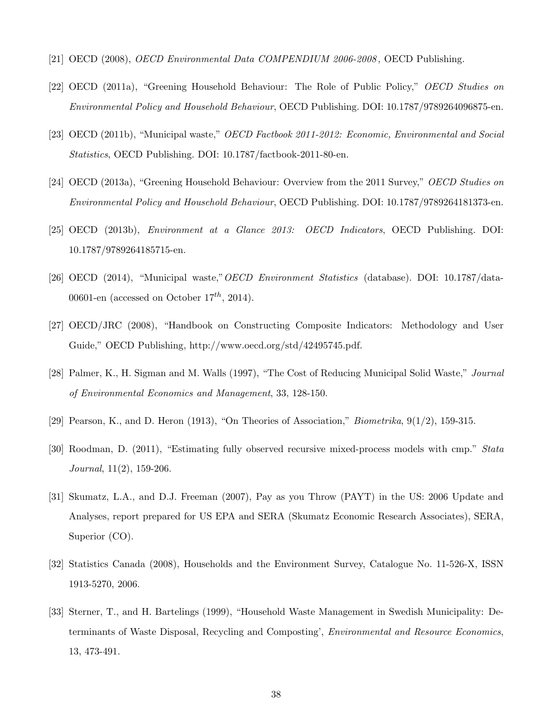- [21] OECD (2008), OECD Environmental Data COMPENDIUM 2006-2008 , OECD Publishing.
- [22] OECD (2011a), "Greening Household Behaviour: The Role of Public Policy," OECD Studies on Environmental Policy and Household Behaviour, OECD Publishing. DOI: 10.1787/9789264096875-en.
- [23] OECD (2011b), "Municipal waste," OECD Factbook 2011-2012: Economic, Environmental and Social Statistics, OECD Publishing. DOI: 10.1787/factbook-2011-80-en.
- [24] OECD (2013a), "Greening Household Behaviour: Overview from the 2011 Survey," OECD Studies on Environmental Policy and Household Behaviour, OECD Publishing. DOI: 10.1787/9789264181373-en.
- [25] OECD (2013b), Environment at a Glance 2013: OECD Indicators, OECD Publishing. DOI: 10.1787/9789264185715-en.
- [26] OECD (2014), "Municipal waste,"OECD Environment Statistics (database). DOI: 10.1787/data-00601-en (accessed on October  $17^{th}$ , 2014).
- [27] OECD/JRC (2008), "Handbook on Constructing Composite Indicators: Methodology and User Guide," OECD Publishing, http://www.oecd.org/std/42495745.pdf.
- [28] Palmer, K., H. Sigman and M. Walls (1997), "The Cost of Reducing Municipal Solid Waste," Journal of Environmental Economics and Management, 33, 128-150.
- [29] Pearson, K., and D. Heron (1913), "On Theories of Association," *Biometrika*,  $9(1/2)$ , 159-315.
- [30] Roodman, D. (2011), "Estimating fully observed recursive mixed-process models with cmp." Stata Journal, 11(2), 159-206.
- [31] Skumatz, L.A., and D.J. Freeman (2007), Pay as you Throw (PAYT) in the US: 2006 Update and Analyses, report prepared for US EPA and SERA (Skumatz Economic Research Associates), SERA, Superior (CO).
- [32] Statistics Canada (2008), Households and the Environment Survey, Catalogue No. 11-526-X, ISSN 1913-5270, 2006.
- [33] Sterner, T., and H. Bartelings (1999), "Household Waste Management in Swedish Municipality: Determinants of Waste Disposal, Recycling and Composting', Environmental and Resource Economics, 13, 473-491.